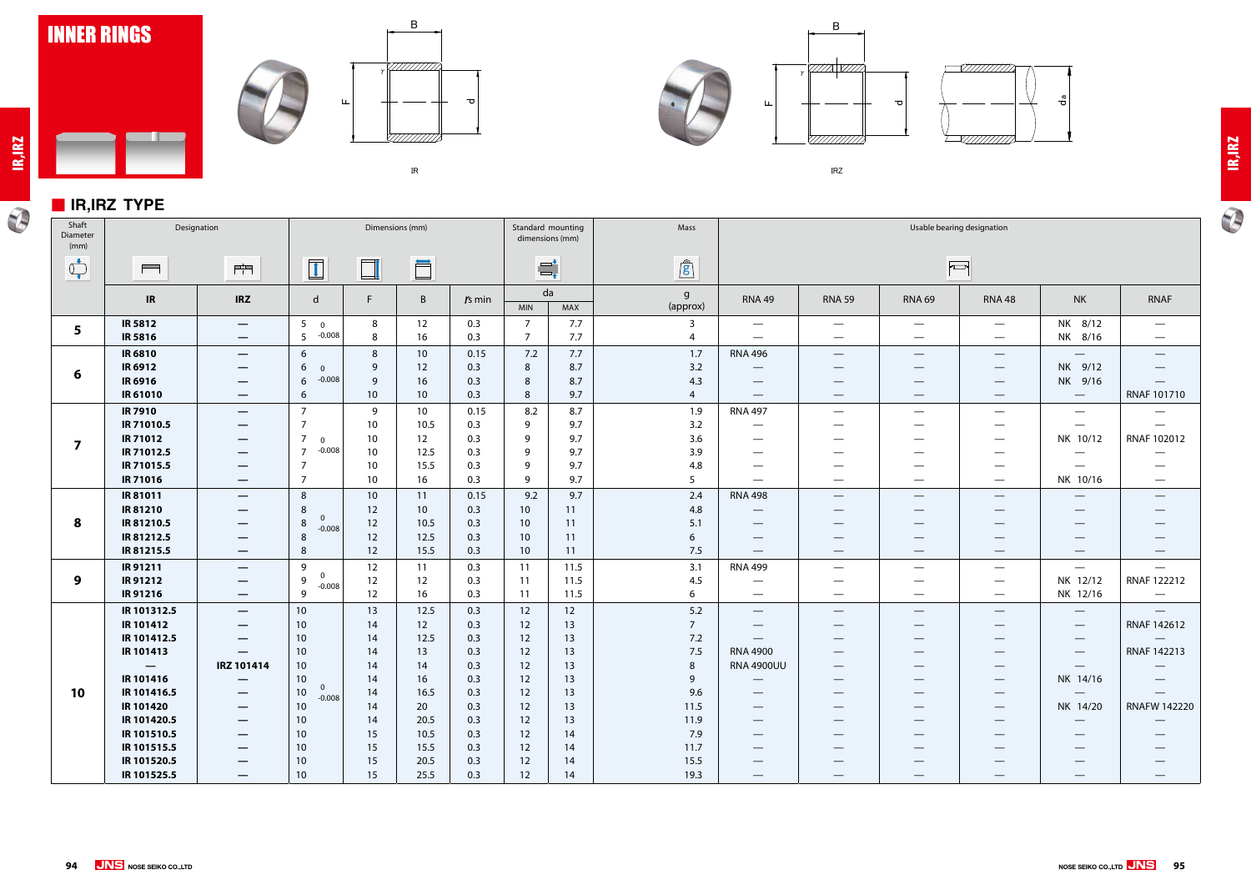

### ■ **IR,IRZ TYPE**

 $\blacksquare$ 









㻵㻾㼆



| Shaft<br>Diameter<br>(mm)      |                                                    | Designation                                                                      | Dimensions (mm)                                   |             |                 |                    |                     | Standard mounting<br>dimensions (mm) | Mass                     |                                                                        |                                                           |                                                                         | Usable bearing designation                                                                            |                                                              |                                                                    |
|--------------------------------|----------------------------------------------------|----------------------------------------------------------------------------------|---------------------------------------------------|-------------|-----------------|--------------------|---------------------|--------------------------------------|--------------------------|------------------------------------------------------------------------|-----------------------------------------------------------|-------------------------------------------------------------------------|-------------------------------------------------------------------------------------------------------|--------------------------------------------------------------|--------------------------------------------------------------------|
| $\bigcirc_{\bullet}^{\bullet}$ | $\blacksquare$                                     | $\frac{1}{\ x\ }$                                                                | $\boxed{1}$                                       | $\Box$      | Ö               |                    |                     | $\equiv_{\textbf{t}}^{\textbf{t}}$   | $\mathbf{r}$             |                                                                        |                                                           |                                                                         | $\sqrt{2}$                                                                                            |                                                              |                                                                    |
|                                | IR                                                 | <b>IRZ</b>                                                                       | $\mathsf{d}$                                      | F.          | B               | $rs$ min           | <b>MIN</b>          | da<br>MAX                            | $\mathsf{g}$<br>(approx) | <b>RNA 49</b>                                                          | <b>RNA 59</b>                                             | <b>RNA 69</b>                                                           | <b>RNA 48</b>                                                                                         | <b>NK</b>                                                    | <b>RNAF</b>                                                        |
| 5                              | <b>IR 5812</b><br><b>IR5816</b>                    | $\hspace{0.1mm}-\hspace{0.1mm}$<br>$\overline{\phantom{m}}$                      | 5 <sub>5</sub><br>$\overline{0}$<br>$-0.008$<br>5 | 8<br>8      | 12<br>16        | 0.3<br>0.3         | 7<br>$\overline{7}$ | 7.7<br>7.7                           | 3<br>4                   | $\hspace{0.1mm}-\hspace{0.1mm}$<br>$\qquad \qquad -$                   | $\overline{\phantom{a}}$<br>$\hspace{0.05cm}$             | $\hspace{0.1mm}-\hspace{0.1mm}$<br>$\hspace{0.05cm}$                    | $\hspace{0.1mm}-\hspace{0.1mm}$<br>$\hspace{0.1mm}-\hspace{0.1mm}$                                    | NK 8/12<br>NK 8/16                                           | $\overline{\phantom{m}}$<br>$\hspace{0.05cm}$                      |
| 6                              | <b>IR 6810</b><br><b>IR 6912</b><br><b>IR 6916</b> | $\hspace{0.1mm}-\hspace{0.1mm}$<br>$\hspace{0.05cm}$<br>$\overline{\phantom{m}}$ | 6<br>6<br>$\overline{0}$<br>$-0.008$<br>6         | 8<br>9<br>9 | 10<br>12<br>16  | 0.15<br>0.3<br>0.3 | 7.2<br>8<br>8       | 7.7<br>8.7<br>8.7                    | 1.7<br>3.2<br>4.3        | <b>RNA 496</b><br>$\hspace{0.1mm}-\hspace{0.1mm}$<br>$\hspace{0.05cm}$ | $\hspace{0.05cm}$<br>$\hspace{0.05cm}$<br>$\qquad \qquad$ | $\overbrace{\phantom{13333}}$<br>$\hspace{0.05cm}$<br>$\hspace{0.05cm}$ | $\hspace{0.1mm}-\hspace{0.1mm}$<br>$\hspace{0.1mm}-\hspace{0.1mm}$<br>$\hspace{0.1mm}-\hspace{0.1mm}$ | $\hspace{0.1mm}-\hspace{0.1mm}$<br>NK 9/12<br>NK 9/16        | $\hspace{0.1mm}-\hspace{0.1mm}$<br>$\hspace{0.1mm}-\hspace{0.1mm}$ |
|                                | IR 61010                                           | –                                                                                | 6                                                 | 10          | 10              | 0.3                | 8                   | 9.7                                  | $\overline{4}$           | $\hspace{0.1mm}-\hspace{0.1mm}$                                        | $\overline{\phantom{m}}$                                  | $\overbrace{\phantom{12332}}$                                           | $\hspace{0.1mm}-\hspace{0.1mm}$                                                                       | $\hspace{0.1mm}-\hspace{0.1mm}$                              | RNAF 101710                                                        |
|                                | <b>IR 7910</b>                                     | $\overline{\phantom{m}}$                                                         | $\overline{7}$                                    | 9           | 10 <sup>°</sup> | 0.15               | 8.2                 | 8.7                                  | 1.9                      | <b>RNA 497</b>                                                         | $\hspace{0.05cm}$                                         | $\hspace{0.05cm}$                                                       | $\overline{\phantom{0}}$                                                                              | $\hspace{0.1mm}-\hspace{0.1mm}$                              |                                                                    |
|                                | IR 71010.5                                         | $\hspace{0.1mm}-\hspace{0.1mm}$                                                  | 7                                                 | 10          | 10.5            | 0.3                | 9                   | 9.7                                  | 3.2                      | $\hspace{0.05cm}$                                                      |                                                           | —                                                                       |                                                                                                       | $\hspace{0.1mm}-\hspace{0.1mm}$                              | $\hspace{0.05cm}$                                                  |
| $\overline{\mathbf{z}}$        | <b>IR 71012</b><br>IR 71012.5                      | $\qquad \qquad \longleftarrow$                                                   | 7<br>$\Omega$<br>$-0.008$<br>$\overline{7}$       | 10<br>10    | 12              | 0.3<br>0.3         | 9<br>9              | 9.7                                  | 3.6                      | $\hspace{0.05cm}$                                                      | $\hspace{0.05cm}$                                         | $\qquad \qquad$                                                         | $\hspace{0.1mm}-\hspace{0.1mm}$                                                                       | NK 10/12                                                     | RNAF 102012                                                        |
|                                | IR 71015.5                                         | $\qquad \qquad \longleftarrow$<br>—                                              | 7                                                 | 10          | 12.5<br>15.5    | 0.3                | 9                   | 9.7<br>9.7                           | 3.9<br>4.8               | $\hspace{0.1mm}-\hspace{0.1mm}$<br>$\qquad \qquad$                     |                                                           | —                                                                       |                                                                                                       | $\overline{\phantom{0}}$<br>$\overbrace{\phantom{12322111}}$ |                                                                    |
|                                | <b>IR 71016</b>                                    | —                                                                                | 7                                                 | 10          | 16              | 0.3                | 9                   | 9.7                                  | 5                        | $\hspace{0.05cm}$                                                      | $\hspace{0.05cm}$                                         |                                                                         | $\hspace{0.1mm}-\hspace{0.1mm}$                                                                       | NK 10/16                                                     | $\hspace{0.05cm}$                                                  |
|                                | IR 81011                                           | $\overline{\phantom{m}}$                                                         | 8                                                 | 10          | 11              | 0.15               | 9.2                 | 9.7                                  | 2.4                      | <b>RNA 498</b>                                                         | $\qquad \qquad \longleftarrow$                            | $\hspace{0.1mm}-\hspace{0.1mm}$                                         | $\hspace{0.1mm}-\hspace{0.1mm}$                                                                       | $\hspace{0.05cm}$                                            | $\hspace{0.05cm}$                                                  |
|                                | IR 81210                                           | –                                                                                | 8                                                 | 12          | 10              | 0.3                | 10 <sup>°</sup>     | 11                                   | 4.8                      | $\hspace{0.05cm}$                                                      | $\hspace{0.05cm}$                                         | $\overbrace{\phantom{12332}}$                                           | $\hspace{0.1mm}-\hspace{0.1mm}$                                                                       | $\overbrace{\phantom{12332}}$                                |                                                                    |
| 8                              | IR 81210.5                                         | –                                                                                | $\mathbf{0}$<br>8<br>$-0.008$                     | 12          | 10.5            | 0.3                | 10 <sup>°</sup>     | 11                                   | 5.1                      | $\qquad \qquad$                                                        |                                                           |                                                                         |                                                                                                       |                                                              |                                                                    |
|                                | IR 81212.5                                         | —                                                                                | 8                                                 | 12          | 12.5            | 0.3                | 10                  | 11                                   | 6                        | $\qquad \qquad$                                                        |                                                           |                                                                         |                                                                                                       |                                                              |                                                                    |
|                                | IR81215.5                                          | $\qquad \qquad \overline{\qquad \qquad }$                                        | 8                                                 | 12          | 15.5            | 0.3                | 10 <sup>°</sup>     | 11                                   | 7.5                      | $\overline{\phantom{m}}$                                               | $\overline{\phantom{m}}$                                  |                                                                         | $\overline{\phantom{a}}$                                                                              | $\hspace{0.1mm}-\hspace{0.1mm}$                              | $\hspace{0.1mm}-\hspace{0.1mm}$                                    |
|                                | IR 91211                                           | —                                                                                | 9<br>$\overline{0}$                               | 12          | 11              | 0.3                | 11                  | 11.5                                 | 3.1                      | <b>RNA 499</b>                                                         | $\hspace{0.05cm}$                                         |                                                                         |                                                                                                       | $\overline{\phantom{0}}$                                     | $\hspace{0.05cm}$                                                  |
| 9                              | <b>IR 91212</b>                                    | $\overline{\phantom{m}}$                                                         | 9<br>$-0.008$                                     | 12          | 12              | 0.3                | 11                  | 11.5                                 | 4.5                      | $\qquad \qquad$                                                        | $\qquad \qquad$                                           |                                                                         | $\overbrace{\phantom{aaaaa}}$                                                                         | NK 12/12                                                     | RNAF 122212                                                        |
|                                | IR 91216                                           | $\qquad \qquad \overline{\qquad \qquad }$                                        | 9                                                 | 12          | 16              | 0.3                | 11                  | 11.5                                 | 6                        | $\hspace{0.1mm}-\hspace{0.1mm}$                                        | $\hspace{0.1mm}-\hspace{0.1mm}$                           | $\hspace{0.05cm}$                                                       | $\hspace{0.1mm}-\hspace{0.1mm}$                                                                       | NK 12/16                                                     | $\overline{\phantom{0}}$                                           |
|                                | IR 101312.5<br><b>IR 101412</b>                    | $\overline{\phantom{m}}$                                                         | 10 <sup>°</sup>                                   | 13          | 12.5            | 0.3                | 12                  | 12                                   | 5.2<br>$\overline{7}$    | $\hspace{0.05cm}$                                                      | $\hspace{0.05cm}$                                         | $\hspace{0.05cm}$                                                       | $\hspace{0.1mm}-\hspace{0.1mm}$                                                                       | $\hspace{0.1mm}-\hspace{0.1mm}$                              | $\hspace{0.05cm}$<br>RNAF 142612                                   |
|                                | IR 101412.5                                        | —                                                                                | 10 <sup>°</sup><br>10 <sup>°</sup>                | 14<br>14    | 12<br>12.5      | 0.3<br>0.3         | 12<br>12            | 13<br>13                             | 7.2                      | $\hspace{0.1mm}-\hspace{0.1mm}$                                        |                                                           | —                                                                       | $\hspace{0.1mm}-\hspace{0.1mm}$                                                                       | $\overline{\phantom{m}}$<br>$\hspace{0.05cm}$                |                                                                    |
|                                | IR 101413                                          | —                                                                                | 10 <sup>°</sup>                                   | 14          | 13              | 0.3                | 12                  | 13                                   | 7.5                      | <b>RNA 4900</b>                                                        |                                                           | —                                                                       | $\overbrace{\phantom{12333}}$                                                                         | $\hspace{0.1mm}-\hspace{0.1mm}$                              | RNAF 142213                                                        |
|                                | -                                                  | IRZ 101414                                                                       | 10 <sup>°</sup>                                   | 14          | 14              | 0.3                | 12                  | 13                                   | 8                        | <b>RNA 4900UU</b>                                                      |                                                           |                                                                         | $\overbrace{\phantom{12333}}$                                                                         | $\overbrace{\phantom{12322111}}$                             |                                                                    |
|                                | <b>IR 101416</b>                                   | $\qquad \qquad \longleftarrow$                                                   | 10 <sup>°</sup>                                   | 14          | 16              | 0.3                | 12                  | 13                                   | 9                        | $\hspace{0.1mm}-\hspace{0.1mm}$                                        |                                                           |                                                                         | $\hspace{0.1mm}-\hspace{0.1mm}$                                                                       | NK 14/16                                                     | $\hspace{0.1mm}-\hspace{0.1mm}$                                    |
| 10                             | IR 101416.5                                        |                                                                                  | $\mathbf{0}$<br>10 <sub>1</sub><br>$-0.008$       | 14          | 16.5            | 0.3                | 12                  | 13                                   | 9.6                      |                                                                        |                                                           |                                                                         |                                                                                                       | $\hspace{0.1mm}-\hspace{0.1mm}$                              |                                                                    |
|                                | <b>IR 101420</b>                                   |                                                                                  | 10 <sup>°</sup>                                   | 14          | 20              | 0.3                | 12                  | 13                                   | 11.5                     |                                                                        |                                                           |                                                                         |                                                                                                       | NK 14/20                                                     | <b>RNAFW 142220</b>                                                |
|                                | IR 101420.5                                        |                                                                                  | 10 <sup>°</sup>                                   | 14          | 20.5            | 0.3                | 12                  | 13                                   | 11.9                     |                                                                        |                                                           |                                                                         |                                                                                                       |                                                              |                                                                    |
|                                | IR 101510.5                                        |                                                                                  | 10 <sup>°</sup>                                   | 15          | 10.5            | 0.3                | 12                  | 14                                   | 7.9                      |                                                                        |                                                           |                                                                         |                                                                                                       |                                                              |                                                                    |
|                                | IR 101515.5<br>IR 101520.5                         | –                                                                                | 10 <sup>°</sup><br>10 <sup>°</sup>                | 15<br>15    | 15.5<br>20.5    | 0.3<br>0.3         | 12<br>12            | 14<br>14                             | 11.7<br>15.5             | –                                                                      |                                                           |                                                                         |                                                                                                       |                                                              |                                                                    |
|                                | IR 101525.5                                        | –<br>—                                                                           | 10 <sup>°</sup>                                   | 15          | 25.5            | 0.3                | 12                  | 14                                   | 19.3                     | $\hspace{0.1mm}-\hspace{0.1mm}$<br>$\overline{\phantom{0}}$            | —                                                         |                                                                         |                                                                                                       |                                                              |                                                                    |
|                                |                                                    |                                                                                  |                                                   |             |                 |                    |                     |                                      |                          |                                                                        |                                                           |                                                                         |                                                                                                       |                                                              |                                                                    |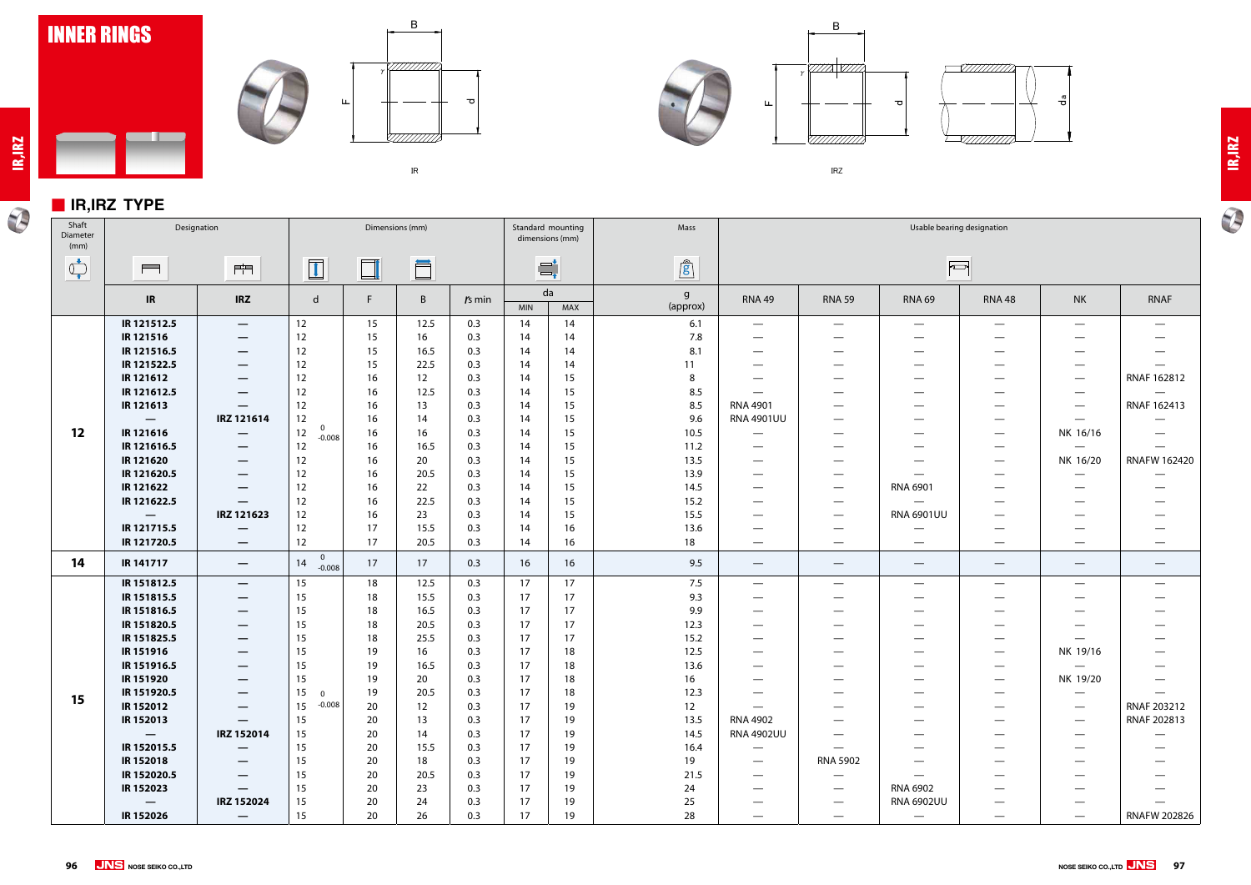

#### ■ **IR,IRZ TYPE**

<u>a ka</u>

**IR,IRZ**

 $\mathcal{P}$ 









㻵㻾㼆

# **IR,IRZ**

 $\overline{\bm{v}}$ 

earing designation  $\Box$  $\overline{\phantom{0}}$ —  $\overline{\phantom{0}}$ — — —  $\overline{\phantom{0}}$ —  $\overline{\phantom{0}}$  $\equiv$  $\overline{\phantom{0}}$  $\equiv$ RNAF 162812 — —  $\overline{\phantom{0}}$ — — RNAF 162413  $\overline{\phantom{0}}$ — — — — — NK 16/16 —  $\equiv$  $\equiv$ — RNAFW 162420 — NK 16/20  $\overline{\phantom{0}}$ — —  $\overline{\phantom{0}}$ — —  $\overline{\phantom{0}}$ — — R<br>D — — —  $\equiv$ — — — — — — — —  $\overline{\phantom{m}}$  $\overline{\phantom{0}}$ — — — — — — — — — — NK 19/16  $\overline{\phantom{0}}$ — — — — NK 19/20 — —  $\overline{\phantom{0}}$ — —  $\equiv$ — RNAF 203212 RNAF 202813  $\equiv$ — — — —  $\equiv$ — — — — — — —  $\overline{\phantom{0}}$ — — lU —  $\overline{\phantom{0}}$ — RNAFW 202826 $\equiv$  $\overline{\phantom{0}}$ 

| $\overline{\phantom{a}}$<br>Shaft<br>Diameter<br>(mm)                                                                                                                                                                                                                                                                                               |                          | Designation                               |                               |        | Dimensions (mm) |          |            | Standard mounting<br>dimensions (mm) | Mass          | Usable bearing designation      |                                 |                                 |                                  |                                 |                          |
|-----------------------------------------------------------------------------------------------------------------------------------------------------------------------------------------------------------------------------------------------------------------------------------------------------------------------------------------------------|--------------------------|-------------------------------------------|-------------------------------|--------|-----------------|----------|------------|--------------------------------------|---------------|---------------------------------|---------------------------------|---------------------------------|----------------------------------|---------------------------------|--------------------------|
| $\begin{picture}(120,10) \put(0,0){\line(1,0){10}} \put(15,0){\line(1,0){10}} \put(15,0){\line(1,0){10}} \put(15,0){\line(1,0){10}} \put(15,0){\line(1,0){10}} \put(15,0){\line(1,0){10}} \put(15,0){\line(1,0){10}} \put(15,0){\line(1,0){10}} \put(15,0){\line(1,0){10}} \put(15,0){\line(1,0){10}} \put(15,0){\line(1,0){10}} \put(15,0){\line($ | $\blacksquare$           | 門                                         | $\boxed{1}$                   | $\Box$ | Ö               |          |            | $\equiv_{\bullet}^{\bullet}$         | $\mathbf{r}$  |                                 |                                 | F                               |                                  |                                 |                          |
|                                                                                                                                                                                                                                                                                                                                                     | IR                       | <b>IRZ</b>                                | d                             | F      | B               | $rs$ min | <b>MIN</b> | da<br>MAX                            | g<br>(approx) | <b>RNA 49</b>                   | <b>RNA 59</b>                   | <b>RNA 69</b>                   | <b>RNA 48</b>                    | <b>NK</b>                       | <b>RNAF</b>              |
|                                                                                                                                                                                                                                                                                                                                                     | IR 121512.5              | $\hspace{0.05cm}$                         | 12                            | 15     | 12.5            | 0.3      | 14         | 14                                   | 6.1           | $\hspace{0.05cm}$               | $\hspace{0.05cm}$               | $\hspace{0.1mm}-\hspace{0.1mm}$ | $\overbrace{\phantom{13333}}$    | $\hspace{0.05cm}$               | $\hspace{0.05cm}$        |
|                                                                                                                                                                                                                                                                                                                                                     | IR 121516                | $\overline{\phantom{0}}$                  | 12                            | 15     | 16              | 0.3      | 14         | 14                                   | 7.8           | $\hspace{0.05cm}$               | $\overline{\phantom{0}}$        | $\hspace{0.05cm}$               |                                  |                                 | $\overline{\phantom{m}}$ |
|                                                                                                                                                                                                                                                                                                                                                     | IR 121516.5              | $\hspace{0.05cm}$                         | 12                            | 15     | 16.5            | 0.3      | 14         | 14                                   | 8.1           |                                 |                                 | $\hspace{0.05cm}$               | --                               |                                 | $\overline{\phantom{0}}$ |
|                                                                                                                                                                                                                                                                                                                                                     | IR 121522.5              |                                           | 12                            | 15     | 22.5            | 0.3      | 14         | 14                                   | 11            |                                 |                                 |                                 | —                                |                                 |                          |
|                                                                                                                                                                                                                                                                                                                                                     | IR 121612                | $\hspace{0.05cm}$                         | 12                            | 16     | 12              | 0.3      | 14         | 15                                   | 8             |                                 | –                               | $\hspace{0.05cm}$               |                                  | $\hspace{0.05cm}$               | <b>RNAF 1628</b>         |
|                                                                                                                                                                                                                                                                                                                                                     | IR 121612.5              |                                           | 12                            | 16     | 12.5            | 0.3      | 14         | 15                                   | 8.5           |                                 |                                 |                                 |                                  |                                 | $\overline{\phantom{m}}$ |
|                                                                                                                                                                                                                                                                                                                                                     | IR 121613                |                                           | 12                            | 16     | 13              | 0.3      | 14         | 15                                   | 8.5           | <b>RNA 4901</b>                 |                                 | $\hspace{0.05cm}$               |                                  | $\qquad \qquad$                 | <b>RNAF 1624</b>         |
|                                                                                                                                                                                                                                                                                                                                                     | $\qquad \qquad -$        | IRZ 121614                                | 12                            | 16     | 14              | 0.3      | 14         | 15                                   | 9.6           | <b>RNA 4901UU</b>               |                                 | $\hspace{0.05cm}$               | $\qquad \qquad \longleftarrow$   | $\hspace{0.1mm}-\hspace{0.1mm}$ | $\overline{\phantom{m}}$ |
| 12                                                                                                                                                                                                                                                                                                                                                  | IR 121616                |                                           | $\mathbf 0$<br>12<br>$-0.008$ | 16     | 16              | 0.3      | 14         | 15                                   | 10.5          |                                 |                                 |                                 | —                                | NK 16/16                        |                          |
|                                                                                                                                                                                                                                                                                                                                                     | IR 121616.5              |                                           | 12                            | 16     | 16.5            | 0.3      | 14         | 15                                   | 11.2          |                                 |                                 |                                 | $\qquad \qquad \longleftarrow$   | $\hspace{0.1mm}-\hspace{0.1mm}$ |                          |
|                                                                                                                                                                                                                                                                                                                                                     | IR 121620                | $\hspace{0.05cm}$                         | 12                            | 16     | 20              | 0.3      | 14         | 15                                   | 13.5          | $\overbrace{\phantom{123321}}$  |                                 | $\hspace{0.05cm}$               | $\qquad \qquad \longleftarrow$   | NK 16/20                        | RNAFW 16                 |
|                                                                                                                                                                                                                                                                                                                                                     | IR 121620.5              | $\overline{\phantom{0}}$                  | 12                            | 16     | 20.5            | 0.3      | 14         | 15                                   | 13.9          |                                 |                                 | $\hspace{0.05cm}$               | —                                | $\hspace{0.05cm}$               |                          |
|                                                                                                                                                                                                                                                                                                                                                     | IR 121622                | —                                         | 12                            | 16     | 22              | 0.3      | 14         | 15                                   | 14.5          | $\qquad \qquad \longleftarrow$  | $\hspace{0.1mm}-\hspace{0.1mm}$ | RNA 6901                        | $\qquad \qquad \longleftarrow$   | $\hspace{0.05cm}$               | $\hspace{0.05cm}$        |
|                                                                                                                                                                                                                                                                                                                                                     | IR 121622.5              |                                           | 12                            | 16     | 22.5            | 0.3      | 14         | 15                                   | 15.2          |                                 | $\qquad \qquad$                 | $\overline{\phantom{m}}$        | $\overline{\phantom{0}}$         |                                 | $\hspace{0.05cm}$        |
|                                                                                                                                                                                                                                                                                                                                                     | $\overline{\phantom{m}}$ | IRZ 121623                                | 12                            | 16     | 23              | 0.3      | 14         | 15                                   | 15.5          | $\qquad \qquad \longleftarrow$  | $\overline{\phantom{0}}$        | <b>RNA 6901UU</b>               | —                                |                                 |                          |
|                                                                                                                                                                                                                                                                                                                                                     | IR 121715.5              |                                           | 12                            | 17     | 15.5            | 0.3      | 14         | 16                                   | 13.6          |                                 | —                               |                                 | —                                |                                 |                          |
|                                                                                                                                                                                                                                                                                                                                                     | IR 121720.5              |                                           | 12                            | 17     | 20.5            | 0.3      | 14         | 16                                   | 18            | $\overline{\phantom{m}}$        |                                 | $\overline{\phantom{m}}$        |                                  | $\overbrace{\phantom{12332}}$   | —                        |
| 14                                                                                                                                                                                                                                                                                                                                                  | IR 141717                | $\overline{\phantom{m}}$                  | $\overline{0}$<br>14          | 17     | 17              | 0.3      | 16         | 16                                   | 9.5           | $\hspace{0.1mm}-\hspace{0.1mm}$ | $\overbrace{\phantom{12332}}$   | $\hspace{0.1mm}-\hspace{0.1mm}$ | $\overline{\phantom{m}}$         | $\hspace{0.05cm}$               | —                        |
|                                                                                                                                                                                                                                                                                                                                                     |                          |                                           | $-0.008$                      |        |                 |          |            |                                      |               |                                 |                                 |                                 |                                  |                                 |                          |
|                                                                                                                                                                                                                                                                                                                                                     | IR 151812.5              | $\overline{\phantom{m}}$                  | 15                            | 18     | 12.5            | 0.3      | 17         | 17                                   | 7.5           | $\overline{\phantom{m}}$        |                                 | $\hspace{0.05cm}$               |                                  |                                 | $\overline{\phantom{0}}$ |
|                                                                                                                                                                                                                                                                                                                                                     | IR 151815.5              | $\qquad \qquad \overline{\qquad \qquad }$ | 15                            | 18     | 15.5            | 0.3      | 17         | 17                                   | 9.3           |                                 |                                 |                                 | —                                |                                 |                          |
|                                                                                                                                                                                                                                                                                                                                                     | IR 151816.5              | $\hspace{0.05cm}$                         | 15                            | 18     | 16.5            | 0.3      | 17         | 17                                   | 9.9           |                                 |                                 |                                 |                                  |                                 |                          |
|                                                                                                                                                                                                                                                                                                                                                     | IR 151820.5              | $\hspace{0.05cm}$                         | 15                            | 18     | 20.5            | 0.3      | 17         | 17                                   | 12.3          | $\overbrace{\phantom{12332}}$   |                                 | $\hspace{0.05cm}$               | —                                |                                 |                          |
|                                                                                                                                                                                                                                                                                                                                                     | IR 151825.5              | $\qquad \qquad \overline{\qquad \qquad }$ | 15                            | 18     | 25.5            | 0.3      | 17         | 17                                   | 15.2          | $\overbrace{\phantom{123321}}$  |                                 | $\overbrace{\phantom{aaaaa}}$   | $\qquad \qquad \longleftarrow$   |                                 | —                        |
|                                                                                                                                                                                                                                                                                                                                                     | IR 151916                |                                           | 15                            | 19     | 16              | 0.3      | 17         | 18                                   | 12.5          |                                 |                                 | $\hspace{0.05cm}$               | —                                | NK 19/16                        |                          |
|                                                                                                                                                                                                                                                                                                                                                     | IR 151916.5              |                                           | 15                            | 19     | 16.5            | 0.3      | 17         | 18                                   | 13.6          |                                 |                                 | —                               | —                                | $\qquad \qquad$                 | —                        |
|                                                                                                                                                                                                                                                                                                                                                     | IR 151920                | —                                         | 15                            | 19     | 20              | 0.3      | 17         | 18                                   | 16            |                                 |                                 |                                 |                                  | NK 19/20                        |                          |
| 15                                                                                                                                                                                                                                                                                                                                                  | IR 151920.5              |                                           | 15<br>$\overline{0}$          | 19     | 20.5            | 0.3      | 17         | 18                                   | 12.3          |                                 |                                 |                                 |                                  |                                 |                          |
|                                                                                                                                                                                                                                                                                                                                                     | IR 152012                |                                           | $-0.008$<br>15                | 20     | 12              | 0.3      | 17         | 19                                   | 12            |                                 |                                 |                                 |                                  | $\hspace{0.05cm}$               | <b>RNAF 2032</b>         |
|                                                                                                                                                                                                                                                                                                                                                     | IR 152013                |                                           | 15                            | 20     | 13              | 0.3      | 17         | 19                                   | 13.5          | RNA 4902                        |                                 | $\hspace{0.05cm}$               |                                  | $\hspace{0.05cm}$               | <b>RNAF 2028</b>         |
|                                                                                                                                                                                                                                                                                                                                                     | $\overline{\phantom{0}}$ | IRZ 152014                                | 15                            | 20     | 14              | 0.3      | 17         | 19                                   | 14.5          | <b>RNA 4902UU</b>               |                                 | $\hspace{0.05cm}$               |                                  |                                 |                          |
|                                                                                                                                                                                                                                                                                                                                                     | IR 152015.5              |                                           | 15                            | 20     | 15.5            | 0.3      | 17         | 19                                   | 16.4          | $\hspace{0.1mm}-\hspace{0.1mm}$ |                                 |                                 |                                  |                                 |                          |
|                                                                                                                                                                                                                                                                                                                                                     | IR 152018                |                                           | 15                            | 20     | 18              | 0.3      | 17         | 19                                   | 19            |                                 | <b>RNA 5902</b>                 |                                 |                                  |                                 |                          |
|                                                                                                                                                                                                                                                                                                                                                     | IR 152020.5              |                                           | 15                            | 20     | 20.5            | 0.3      | 17         | 19                                   | 21.5          |                                 | $\hspace{0.05cm}$               |                                 |                                  |                                 |                          |
|                                                                                                                                                                                                                                                                                                                                                     | IR 152023                |                                           | 15                            | 20     | 23              | 0.3      | 17         | 19                                   | 24            |                                 | $\qquad \qquad \longleftarrow$  | RNA 6902                        |                                  |                                 |                          |
|                                                                                                                                                                                                                                                                                                                                                     | $\qquad \qquad -$        | IRZ 152024                                | 15                            | 20     | 24              | 0.3      | 17         | 19                                   | 25            |                                 | $\hspace{0.05cm}$               | <b>RNA 6902UU</b>               |                                  |                                 |                          |
|                                                                                                                                                                                                                                                                                                                                                     | IR 152026                | $\hspace{0.1mm}-\hspace{0.1mm}$           | 15                            | 20     | 26              | 0.3      | 17         | 19                                   | 28            |                                 |                                 | $\hspace{0.1mm}-\hspace{0.1mm}$ | $\overbrace{\phantom{aaaaa}}^{}$ |                                 | RNAFW 20                 |
|                                                                                                                                                                                                                                                                                                                                                     |                          |                                           |                               |        |                 |          |            |                                      |               |                                 |                                 |                                 |                                  |                                 |                          |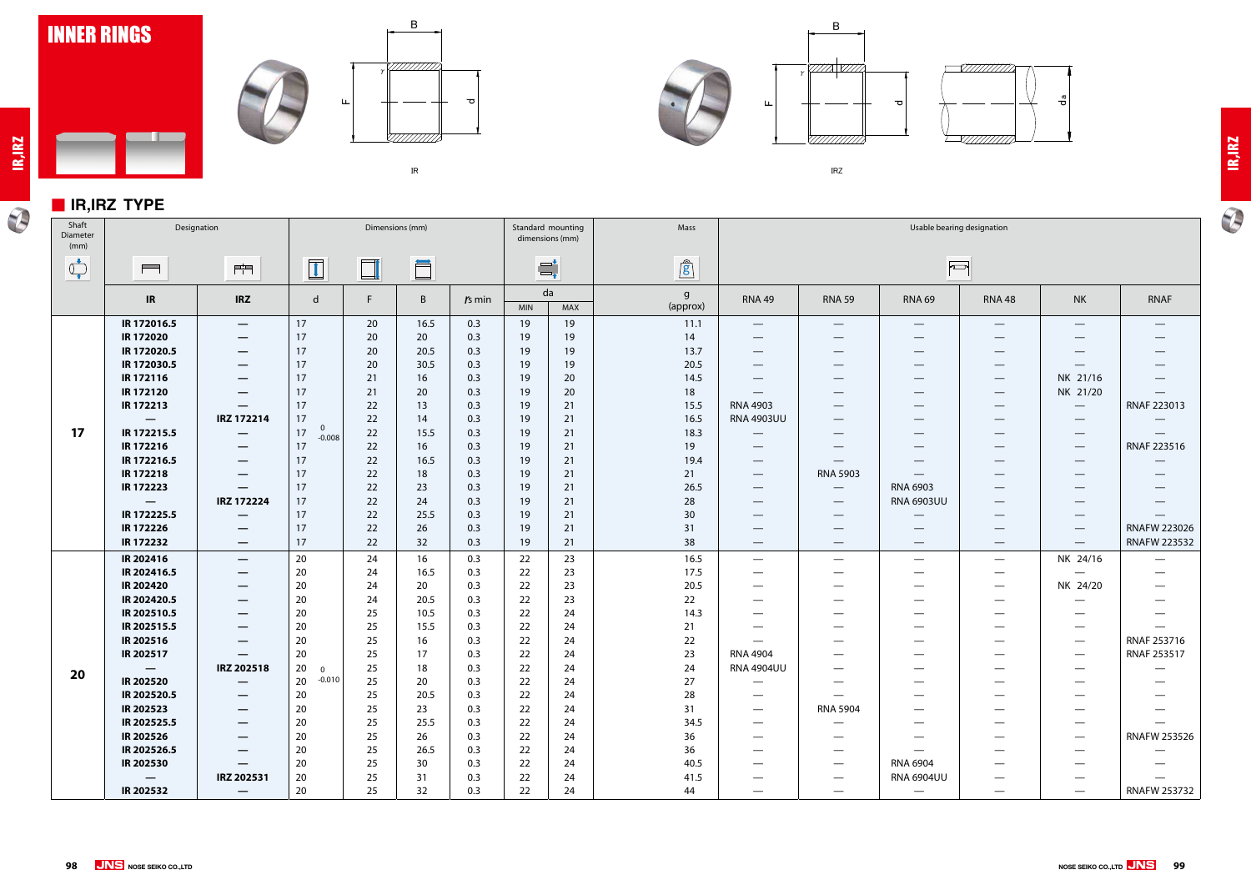

### ■ **IR,IRZ TYPE**

 $\blacksquare$ 











㻵㻾㼆



| Shaft<br>Diameter<br>(mm)                                                                                                                                                                                                                                                                                                                           |                                 | Designation                     | Dimensions (mm)      |        |      |          |            | Standard mounting<br>dimensions (mm) | Mass                     | Usable bearing designation                |                                 |                                 |                                 |                                 |                                 |
|-----------------------------------------------------------------------------------------------------------------------------------------------------------------------------------------------------------------------------------------------------------------------------------------------------------------------------------------------------|---------------------------------|---------------------------------|----------------------|--------|------|----------|------------|--------------------------------------|--------------------------|-------------------------------------------|---------------------------------|---------------------------------|---------------------------------|---------------------------------|---------------------------------|
| $\begin{picture}(220,20) \put(0,0){\line(1,0){10}} \put(15,0){\line(1,0){10}} \put(15,0){\line(1,0){10}} \put(15,0){\line(1,0){10}} \put(15,0){\line(1,0){10}} \put(15,0){\line(1,0){10}} \put(15,0){\line(1,0){10}} \put(15,0){\line(1,0){10}} \put(15,0){\line(1,0){10}} \put(15,0){\line(1,0){10}} \put(15,0){\line(1,0){10}} \put(15,0){\line($ | $\blacksquare$                  | 門                               | $\boxed{1}$          | $\Box$ | Ö    |          |            | $\Xi^\text{t}_\text{r}$              | $\mathbf{r}$             |                                           |                                 | $\sqrt{2}$                      |                                 |                                 |                                 |
|                                                                                                                                                                                                                                                                                                                                                     | IR                              | <b>IRZ</b>                      | d                    | F.     | B    | $rs$ min | <b>MIN</b> | da<br>MAX                            | $\mathsf{g}$<br>(approx) | <b>RNA 49</b>                             | <b>RNA 59</b>                   | <b>RNA 69</b>                   | <b>RNA 48</b>                   | <b>NK</b>                       | <b>RNAF</b>                     |
|                                                                                                                                                                                                                                                                                                                                                     | IR 172016.5                     | $\overline{\phantom{m}}$        | 17                   | 20     | 16.5 | 0.3      | 19         | 19                                   | 11.1                     | $\qquad \qquad -$                         | $\overline{\phantom{0}}$        |                                 | $\hspace{0.1mm}-\hspace{0.1mm}$ | $\hspace{0.05cm}$               | $\hspace{0.1mm}-\hspace{0.1mm}$ |
|                                                                                                                                                                                                                                                                                                                                                     | IR 172020                       | $\hspace{0.05cm}$               | 17                   | 20     | 20   | 0.3      | 19         | 19                                   | 14                       | $\qquad \qquad \longleftarrow$            | $\qquad \qquad$                 |                                 | $\hspace{0.1mm}-\hspace{0.1mm}$ | $\overline{\phantom{0}}$        |                                 |
|                                                                                                                                                                                                                                                                                                                                                     | IR 172020.5                     | $\hspace{0.1mm}-\hspace{0.1mm}$ | 17                   | 20     | 20.5 | 0.3      | 19         | 19                                   | 13.7                     | $\hspace{0.1mm}-\hspace{0.1mm}$           | $\hspace{0.05cm}$               | $\qquad \qquad$                 | $\overline{\phantom{a}}$        | $\qquad \qquad$                 |                                 |
|                                                                                                                                                                                                                                                                                                                                                     | IR 172030.5                     |                                 | 17                   | 20     | 30.5 | 0.3      | 19         | 19                                   | 20.5                     | $\qquad \qquad \overline{\qquad \qquad }$ | $\hspace{0.1mm}-\hspace{0.1mm}$ |                                 | $\hspace{0.1mm}-\hspace{0.1mm}$ |                                 |                                 |
|                                                                                                                                                                                                                                                                                                                                                     | IR 172116                       | $\hspace{0.1mm}-\hspace{0.1mm}$ | 17                   | 21     | 16   | 0.3      | 19         | 20                                   | 14.5                     |                                           | $\qquad \qquad$                 | —                               | $\hspace{0.1mm}-\hspace{0.1mm}$ | NK 21/16                        |                                 |
|                                                                                                                                                                                                                                                                                                                                                     | IR 172120                       |                                 | 17                   | 21     | 20   | 0.3      | 19         | 20                                   | 18                       | $\hspace{0.1mm}-\hspace{0.1mm}$           | $\qquad \qquad$                 | —                               | $\hspace{0.1mm}-\hspace{0.1mm}$ | NK 21/20                        | $\hspace{0.1mm}-\hspace{0.1mm}$ |
|                                                                                                                                                                                                                                                                                                                                                     | IR 172213                       | $\qquad \qquad \longleftarrow$  | 17                   | 22     | 13   | 0.3      | 19         | 21                                   | 15.5                     | <b>RNA 4903</b>                           |                                 | —                               | $\hspace{0.1mm}-\hspace{0.1mm}$ | $\hspace{0.1mm}-\hspace{0.1mm}$ | RNAF 223013                     |
|                                                                                                                                                                                                                                                                                                                                                     | $\hspace{0.1mm}-\hspace{0.1mm}$ | IRZ 172214                      | 17<br>$\mathbf 0$    | 22     | 14   | 0.3      | 19         | 21                                   | 16.5                     | <b>RNA 4903UU</b>                         | $\qquad \qquad$                 |                                 | $\qquad \qquad$                 | $\hspace{0.05cm}$               |                                 |
| 17                                                                                                                                                                                                                                                                                                                                                  | IR 172215.5                     |                                 | 17<br>$-0.008$       | 22     | 15.5 | 0.3      | 19         | 21                                   | 18.3                     |                                           | $\qquad \qquad$                 | $\overbrace{\phantom{12333}}$   | $\hspace{0.1mm}-\hspace{0.1mm}$ | $\hspace{0.05cm}$               | $\overline{\phantom{m}}$        |
|                                                                                                                                                                                                                                                                                                                                                     | IR 172216                       |                                 | 17                   | 22     | 16   | 0.3      | 19         | 21                                   | 19                       |                                           |                                 | __                              | $\hspace{0.1mm}-\hspace{0.1mm}$ |                                 | RNAF 223516                     |
|                                                                                                                                                                                                                                                                                                                                                     | IR 172216.5                     | $\hspace{0.05cm}$               | 17                   | 22     | 16.5 | 0.3      | 19         | 21                                   | 19.4                     |                                           |                                 |                                 | $\qquad \qquad$                 |                                 |                                 |
|                                                                                                                                                                                                                                                                                                                                                     | IR 172218                       | $\hspace{0.1mm}-\hspace{0.1mm}$ | 17                   | 22     | 18   | 0.3      | 19         | 21                                   | 21                       | $\hspace{0.1mm}-\hspace{0.1mm}$           | <b>RNA 5903</b>                 | $\hspace{0.1mm}-\hspace{0.1mm}$ | $\hspace{0.05cm}$               | $\qquad \qquad$                 |                                 |
|                                                                                                                                                                                                                                                                                                                                                     | IR 172223                       | $\hspace{0.05cm}$               | 17                   | 22     | 23   | 0.3      | 19         | 21                                   | 26.5                     | $\hspace{0.05cm}$                         | $\overline{\phantom{m}}$        | <b>RNA 6903</b>                 | $\hspace{0.1mm}-\hspace{0.1mm}$ | $\overline{\phantom{m}}$        | $\hspace{0.1mm}-\hspace{0.1mm}$ |
|                                                                                                                                                                                                                                                                                                                                                     | $\overline{\phantom{m}}$        | IRZ 172224                      | 17                   | 22     | 24   | 0.3      | 19         | 21                                   | 28                       | $\qquad \qquad \longleftarrow$            | $\hspace{0.1mm}-\hspace{0.1mm}$ | <b>RNA 6903UU</b>               | $\hspace{0.1mm}-\hspace{0.1mm}$ | $\hspace{0.1mm}-\hspace{0.1mm}$ | $\overbrace{\phantom{123321}}$  |
|                                                                                                                                                                                                                                                                                                                                                     | IR 172225.5                     | $\overline{\phantom{m}}$        | 17                   | 22     | 25.5 | 0.3      | 19         | 21                                   | 30                       | $\qquad \qquad \overline{\qquad \qquad }$ | $\hspace{0.05cm}$               | $\hspace{0.1mm}-\hspace{0.1mm}$ | $\hspace{0.1mm}-\hspace{0.1mm}$ | $\hspace{0.05cm}$               |                                 |
|                                                                                                                                                                                                                                                                                                                                                     | IR 172226                       |                                 | 17                   | 22     | 26   | 0.3      | 19         | 21                                   | 31                       |                                           |                                 | —                               | $\hspace{0.1mm}-\hspace{0.1mm}$ |                                 | <b>RNAFW 223026</b>             |
|                                                                                                                                                                                                                                                                                                                                                     | IR 172232                       | $\overline{\phantom{a}}$        | 17                   | 22     | 32   | 0.3      | 19         | 21                                   | 38                       | $\overline{\phantom{m}}$                  | $\overline{\phantom{m}}$        | $\hspace{0.1mm}-\hspace{0.1mm}$ | $\overline{\phantom{m}}$        | $\hspace{0.1mm}-\hspace{0.1mm}$ | <b>RNAFW 223532</b>             |
|                                                                                                                                                                                                                                                                                                                                                     | IR 202416                       | $\hspace{0.1mm}-\hspace{0.1mm}$ | 20                   | 24     | 16   | 0.3      | 22         | 23                                   | 16.5                     | $\hspace{0.05cm}$                         | $\overbrace{\phantom{13333}}$   | $\hspace{0.1mm}-\hspace{0.1mm}$ | $\overbrace{\phantom{aaaaa}}$   | NK 24/16                        |                                 |
|                                                                                                                                                                                                                                                                                                                                                     | IR 202416.5                     | $\overline{\phantom{m}}$        | 20                   | 24     | 16.5 | 0.3      | 22         | 23                                   | 17.5                     | $\qquad \qquad \longleftarrow$            |                                 | —                               | $\hspace{0.1mm}-\hspace{0.1mm}$ |                                 |                                 |
|                                                                                                                                                                                                                                                                                                                                                     | IR 202420                       | $\hspace{0.1mm}-\hspace{0.1mm}$ | 20                   | 24     | 20   | 0.3      | 22         | 23                                   | 20.5                     |                                           |                                 |                                 | $\hspace{0.1mm}-\hspace{0.1mm}$ | NK 24/20                        |                                 |
|                                                                                                                                                                                                                                                                                                                                                     | IR 202420.5                     | $\overline{\phantom{m}}$        | 20                   | 24     | 20.5 | 0.3      | 22         | 23                                   | 22                       | $\hspace{0.05cm}$                         |                                 | –                               |                                 |                                 |                                 |
|                                                                                                                                                                                                                                                                                                                                                     | IR 202510.5                     | $\hspace{0.1mm}-\hspace{0.1mm}$ | 20                   | 25     | 10.5 | 0.3      | 22         | 24                                   | 14.3                     |                                           |                                 | –                               |                                 | $\qquad \qquad$                 |                                 |
|                                                                                                                                                                                                                                                                                                                                                     | IR 202515.5                     | $\hspace{0.05cm}$               | 20                   | 25     | 15.5 | 0.3      | 22         | 24                                   | 21                       | $\qquad \qquad \longleftarrow$            | $\hspace{0.05cm}$               | —                               | $\hspace{0.1mm}-\hspace{0.1mm}$ | $\hspace{0.1mm}-\hspace{0.1mm}$ | $\hspace{0.05cm}$               |
|                                                                                                                                                                                                                                                                                                                                                     | IR 202516                       |                                 | 20                   | 25     | 16   | 0.3      | 22         | 24                                   | 22                       |                                           |                                 | —                               |                                 | $\hspace{0.1mm}-\hspace{0.1mm}$ | RNAF 253716                     |
|                                                                                                                                                                                                                                                                                                                                                     | IR 202517                       | —                               | 20                   | 25     | 17   | 0.3      | 22         | 24                                   | 23                       | <b>RNA 4904</b>                           | $\sim$                          |                                 |                                 | $\hspace{0.1mm}-\hspace{0.1mm}$ | RNAF 253517                     |
| 20                                                                                                                                                                                                                                                                                                                                                  |                                 | IRZ 202518                      | 20<br>$\overline{0}$ | 25     | 18   | 0.3      | 22         | 24                                   | 24                       | <b>RNA 4904UU</b>                         |                                 |                                 |                                 |                                 |                                 |
|                                                                                                                                                                                                                                                                                                                                                     | IR 202520                       |                                 | 20 -0.010            | 25     | 20   | 0.3      | 22         | 24                                   | 27                       | $\overline{\phantom{a}}$                  | $\overline{\phantom{m}}$        | –                               |                                 | $\hspace{0.05cm}$               |                                 |
|                                                                                                                                                                                                                                                                                                                                                     | IR 202520.5                     | $\overline{\phantom{m}}$        | 20                   | 25     | 20.5 | 0.3      | 22         | 24                                   | 28                       |                                           | $\hspace{0.05cm}$               | —                               |                                 |                                 |                                 |
|                                                                                                                                                                                                                                                                                                                                                     | <b>IR 202523</b>                | —                               | 20                   | 25     | 23   | 0.3      | 22         | 24                                   | 31                       |                                           | <b>RNA 5904</b>                 |                                 |                                 |                                 |                                 |
|                                                                                                                                                                                                                                                                                                                                                     | IR 202525.5                     | $\hspace{0.1mm}-\hspace{0.1mm}$ | 20                   | 25     | 25.5 | 0.3      | 22         | 24                                   | 34.5                     |                                           |                                 |                                 |                                 |                                 |                                 |
|                                                                                                                                                                                                                                                                                                                                                     | <b>IR 202526</b>                | —                               | 20                   | 25     | 26   | 0.3      | 22         | 24                                   | 36                       | <u>است.</u>                               |                                 |                                 |                                 |                                 | <b>RNAFW 253526</b>             |
|                                                                                                                                                                                                                                                                                                                                                     | IR 202526.5                     |                                 | 20                   | 25     | 26.5 | 0.3      | 22         | 24                                   | 36                       |                                           | $\overline{\phantom{0}}$        |                                 |                                 |                                 |                                 |
|                                                                                                                                                                                                                                                                                                                                                     | <b>IR 202530</b>                | —                               | 20                   | 25     | 30   | 0.3      | 22         | 24                                   | 40.5                     |                                           |                                 | RNA 6904                        |                                 |                                 |                                 |
|                                                                                                                                                                                                                                                                                                                                                     | $\overline{\phantom{m}}$        | IRZ 202531                      | 20                   | 25     | 31   | 0.3      | 22         | 24                                   | 41.5                     | $\overline{\phantom{0}}$                  |                                 | <b>RNA 6904UU</b>               | $\hspace{0.1mm}-\hspace{0.1mm}$ |                                 |                                 |
|                                                                                                                                                                                                                                                                                                                                                     | <b>IR 202532</b>                | $\overline{\phantom{m}}$        | 20                   | 25     | 32   | 0.3      | 22         | 24                                   | 44                       | —                                         |                                 | $\hspace{0.1mm}-\hspace{0.1mm}$ | $\hspace{0.1mm}-\hspace{0.1mm}$ |                                 | <b>RNAFW 253732</b>             |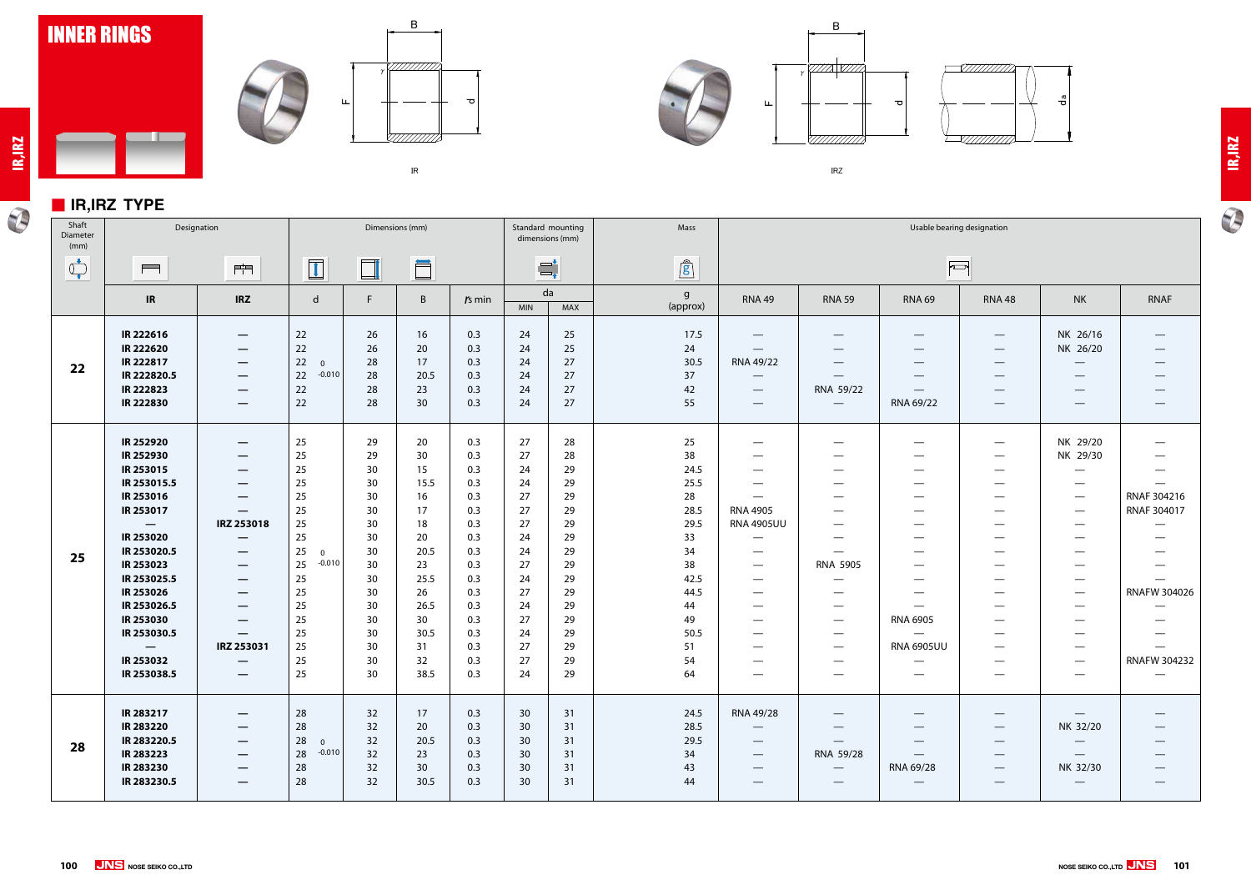

#### ■ **IR,IRZ TYPE**

<u>a ba</u>

**IR,IRZ**

 $\overline{\bm{v}}$ 









㻵㻾㼆

# **IR,IRZ**

 $\overline{\mathbf{P}}$ 

| Shaft<br>Diameter<br>(mm)      |                                                                                                                                                                                                                                                                                         | Designation<br>Dimensions (mm)                                                                                                                                                                                                                                                                                                                                                                                 |                                                                                                                                  |                                                                                                          |                                                                                                                      |                                                                                                                            |                                                                                                          |                                                                                                          | Mass                                                                                                                   | Usable bearing designation                                                                                                                                                                                                                             |                                                                                                                                                                                                                                                                                         |                                                                                                                                                                                                                                                          |                                                                                                                                                                                                                                                                     |                                                                                                                                                                                                                                  |                                                                                                                                                                                       |  |
|--------------------------------|-----------------------------------------------------------------------------------------------------------------------------------------------------------------------------------------------------------------------------------------------------------------------------------------|----------------------------------------------------------------------------------------------------------------------------------------------------------------------------------------------------------------------------------------------------------------------------------------------------------------------------------------------------------------------------------------------------------------|----------------------------------------------------------------------------------------------------------------------------------|----------------------------------------------------------------------------------------------------------|----------------------------------------------------------------------------------------------------------------------|----------------------------------------------------------------------------------------------------------------------------|----------------------------------------------------------------------------------------------------------|----------------------------------------------------------------------------------------------------------|------------------------------------------------------------------------------------------------------------------------|--------------------------------------------------------------------------------------------------------------------------------------------------------------------------------------------------------------------------------------------------------|-----------------------------------------------------------------------------------------------------------------------------------------------------------------------------------------------------------------------------------------------------------------------------------------|----------------------------------------------------------------------------------------------------------------------------------------------------------------------------------------------------------------------------------------------------------|---------------------------------------------------------------------------------------------------------------------------------------------------------------------------------------------------------------------------------------------------------------------|----------------------------------------------------------------------------------------------------------------------------------------------------------------------------------------------------------------------------------|---------------------------------------------------------------------------------------------------------------------------------------------------------------------------------------|--|
| $\bigcirc_{\bullet}^{\bullet}$ | $\qquad \qquad \blacksquare$                                                                                                                                                                                                                                                            | 門                                                                                                                                                                                                                                                                                                                                                                                                              | $\boxed{1}$                                                                                                                      | $\Box$                                                                                                   | Ö                                                                                                                    |                                                                                                                            |                                                                                                          | $\equiv$                                                                                                 | $\mathbf{r}$                                                                                                           |                                                                                                                                                                                                                                                        |                                                                                                                                                                                                                                                                                         | F                                                                                                                                                                                                                                                        |                                                                                                                                                                                                                                                                     |                                                                                                                                                                                                                                  |                                                                                                                                                                                       |  |
|                                | IR                                                                                                                                                                                                                                                                                      | <b>IRZ</b>                                                                                                                                                                                                                                                                                                                                                                                                     | $\mathsf{d}$                                                                                                                     | F.                                                                                                       | $\mathsf{B}$                                                                                                         | $rs$ min                                                                                                                   | <b>MIN</b>                                                                                               | da<br>MAX                                                                                                | $\mathsf{g}$<br>(approx)                                                                                               | <b>RNA 49</b>                                                                                                                                                                                                                                          | <b>RNA 59</b>                                                                                                                                                                                                                                                                           | <b>RNA 69</b>                                                                                                                                                                                                                                            | <b>RNA 48</b>                                                                                                                                                                                                                                                       | <b>NK</b>                                                                                                                                                                                                                        | <b>RNAF</b>                                                                                                                                                                           |  |
| 22                             | IR 222616<br>IR 222620<br>IR 222817<br>IR 222820.5<br>IR 222823<br>IR 222830                                                                                                                                                                                                            | $\hspace{0.1mm}-\hspace{0.1mm}$<br>$\overline{\phantom{m}}$<br>$\hspace{0.1mm}-\hspace{0.1mm}$<br>$\overline{\phantom{m}}$<br>$\hspace{0.1mm}-\hspace{0.1mm}$<br>$\hspace{0.1mm}-\hspace{0.1mm}$                                                                                                                                                                                                               | 22<br>22<br>22<br>$\overline{0}$<br>$-0.010$<br>22<br>22<br>22                                                                   | 26<br>26<br>28<br>28<br>28<br>28                                                                         | 16<br>20<br>17<br>20.5<br>23<br>30                                                                                   | 0.3<br>0.3<br>0.3<br>0.3<br>0.3<br>0.3                                                                                     | 24<br>24<br>24<br>24<br>24<br>24                                                                         | 25<br>25<br>27<br>27<br>27<br>27                                                                         | 17.5<br>24<br>30.5<br>37<br>42<br>55                                                                                   | $\hspace{0.1mm}-\hspace{0.1mm}$<br>$\hspace{0.1mm}-\hspace{0.1mm}$<br>RNA 49/22<br>$\hspace{0.1mm}-\hspace{0.1mm}$<br>$\hspace{0.05cm}$                                                                                                                | $\hspace{0.05cm}$<br>$\overline{\phantom{0}}$<br>RNA 59/22<br>$\hspace{0.05cm}$                                                                                                                                                                                                         | $\hspace{0.1mm}-\hspace{0.1mm}$<br>$\qquad \qquad$<br>$\qquad \qquad$<br>$\hspace{0.1mm}-\hspace{0.1mm}$<br>—<br>RNA 69/22                                                                                                                               | $\overline{\phantom{0}}$<br>$\hspace{0.1mm}-\hspace{0.1mm}$<br>$\hspace{0.05cm}$<br>$\hspace{0.05cm}$<br>$\hspace{0.05cm}$                                                                                                                                          | NK 26/16<br>NK 26/20<br>$\hspace{0.1mm}-\hspace{0.1mm}$<br>—                                                                                                                                                                     | $\overbrace{\phantom{12333}}$<br>$\hspace{0.1mm}-\hspace{0.1mm}$<br>$\overbrace{\phantom{12332}}$                                                                                     |  |
| 25                             | IR 252920<br>IR 252930<br>IR 253015<br>IR 253015.5<br>IR 253016<br>IR 253017<br>$\overline{\phantom{m}}$<br>IR 253020<br>IR 253020.5<br>IR 253023<br>IR 253025.5<br>IR 253026<br>IR 253026.5<br>IR 253030<br>IR 253030.5<br>$\hspace{0.1mm}-\hspace{0.1mm}$<br>IR 253032<br>IR 253038.5 | $\overline{\phantom{m}}$<br>$\overline{\phantom{m}}$<br>$\hspace{0.1mm}-\hspace{0.1mm}$<br>$\hspace{0.05cm}$<br>—<br>—<br>IRZ 253018<br>$\hspace{0.1mm}-\hspace{0.1mm}$<br>$\hspace{0.1mm}-\hspace{0.1mm}$<br>$\overline{\phantom{m}}$<br>$\hspace{0.1mm}-\hspace{0.1mm}$<br>$\overline{\phantom{m}}$<br>$\overline{\phantom{m}}$<br>$\overline{\phantom{m}}$<br>IRZ 253031<br>$\hspace{0.1mm}-\hspace{0.1mm}$ | 25<br>25<br>25<br>25<br>25<br>25<br>25<br>25<br>25<br>$\Omega$<br>25<br>$-0.010$<br>25<br>25<br>25<br>25<br>25<br>25<br>25<br>25 | 29<br>29<br>30<br>30<br>30<br>30<br>30<br>30<br>30<br>30<br>30<br>30<br>30<br>30<br>30<br>30<br>30<br>30 | 20<br>30<br>15<br>15.5<br>16<br>17<br>18<br>20<br>20.5<br>23<br>25.5<br>26<br>26.5<br>30<br>30.5<br>31<br>32<br>38.5 | 0.3<br>0.3<br>0.3<br>0.3<br>0.3<br>0.3<br>0.3<br>0.3<br>0.3<br>0.3<br>0.3<br>0.3<br>0.3<br>0.3<br>0.3<br>0.3<br>0.3<br>0.3 | 27<br>27<br>24<br>24<br>27<br>27<br>27<br>24<br>24<br>27<br>24<br>27<br>24<br>27<br>24<br>27<br>27<br>24 | 28<br>28<br>29<br>29<br>29<br>29<br>29<br>29<br>29<br>29<br>29<br>29<br>29<br>29<br>29<br>29<br>29<br>29 | 25<br>38<br>24.5<br>25.5<br>28<br>28.5<br>29.5<br>33<br>34<br>38<br>42.5<br>44.5<br>44<br>49<br>50.5<br>51<br>54<br>64 | —<br>$\hspace{0.05cm}$<br>$\overline{\phantom{0}}$<br><b>RNA 4905</b><br><b>RNA 4905UU</b><br>$\qquad \qquad \longleftarrow$<br>$\hspace{0.05cm}$<br>$\overline{\phantom{0}}$<br>—<br>$\hspace{0.05cm}$<br>—<br>$\hspace{0.05cm}$<br>$\hspace{0.05cm}$ | $\overbrace{\phantom{13333}}$<br>$\overline{\phantom{0}}$<br>$\overline{\phantom{0}}$<br>$\overbrace{\phantom{13333}}$<br>—<br><b>RNA 5905</b><br>—<br>$\overbrace{\phantom{13333}}$<br>$\overline{\phantom{0}}$<br>$\overbrace{\phantom{13333}}$<br>$\overbrace{\phantom{13333}}$<br>— | $\hspace{0.05cm}$<br>--<br>$\qquad \qquad$<br>$\hspace{0.05cm}$<br>$\qquad \qquad$<br>$\hspace{0.05cm}$<br>--<br>$\qquad \qquad$<br>$\hspace{0.05cm}$<br>$\hspace{0.05cm}$<br>$\qquad \qquad$<br><b>RNA 6905</b><br><b>RNA 6905UU</b><br>$\qquad \qquad$ | $\hspace{0.05cm}$<br>$\overline{\phantom{0}}$<br>$\hspace{0.05cm}$<br>$\qquad \qquad \longleftarrow$<br>$\hspace{0.05cm}$<br>$\hspace{0.05cm}$<br>$\overbrace{\phantom{aaaaa}}$<br>$\hspace{0.05cm}$<br>$\hspace{0.05cm}$<br>$\hspace{0.05cm}$<br>$\hspace{0.05cm}$ | NK 29/20<br>NK 29/30<br>$\hspace{0.05cm}$<br>$\hspace{0.05cm}$<br>$\hspace{0.05cm}$<br>$\hspace{0.05cm}$<br>—<br>$\hspace{0.05cm}$<br>$\hspace{0.05cm}$<br>$\hspace{0.05cm}$<br>$\hspace{0.05cm}$<br>—<br>$\hspace{0.05cm}$<br>— | $\qquad \qquad \longleftarrow$<br>$\qquad \qquad \longleftarrow$<br>—<br>RNAF 304216<br>RNAF 304017<br>—<br>$\overline{\phantom{0}}$<br>RNAFW 304026<br>—<br>–<br><b>RNAFW 304232</b> |  |
| 28                             | IR 283217<br><b>IR 283220</b><br>IR 283220.5<br>IR 283223<br>IR 283230<br>IR 283230.5                                                                                                                                                                                                   | –<br>$\hspace{0.1mm}-\hspace{0.1mm}$<br>–<br>–                                                                                                                                                                                                                                                                                                                                                                 | 28<br>28<br>28<br>$\overline{0}$<br>$-0.010$<br>28<br>28<br>28                                                                   | 32<br>32<br>32<br>32<br>32<br>32                                                                         | 17<br>20<br>20.5<br>23<br>30 <sup>°</sup><br>30.5                                                                    | 0.3<br>0.3<br>0.3<br>0.3<br>0.3<br>0.3                                                                                     | 30 <sup>°</sup><br>30 <sup>°</sup><br>30<br>30<br>30<br>30                                               | 31<br>31<br>31<br>31<br>31<br>31                                                                         | 24.5<br>28.5<br>29.5<br>34<br>43<br>44                                                                                 | RNA 49/28<br>$\qquad \qquad \longleftarrow$<br>$\overline{\phantom{0}}$<br>$\qquad \qquad \longleftarrow$<br>—                                                                                                                                         | RNA 59/28                                                                                                                                                                                                                                                                               | —<br>—<br>RNA 69/28<br>$\qquad \qquad$                                                                                                                                                                                                                   | $\hspace{0.05cm}$<br>$\qquad \qquad \longleftarrow$<br>$\hspace{0.1mm}-\hspace{0.1mm}$<br>$\hspace{0.1mm}-\hspace{0.1mm}$<br>$\hspace{0.05cm}$                                                                                                                      | $\hspace{0.1mm}-\hspace{0.1mm}$<br>NK 32/20<br>$\qquad \qquad \longleftarrow$<br>$\overline{\phantom{m}}$<br>NK 32/30<br>—                                                                                                       |                                                                                                                                                                                       |  |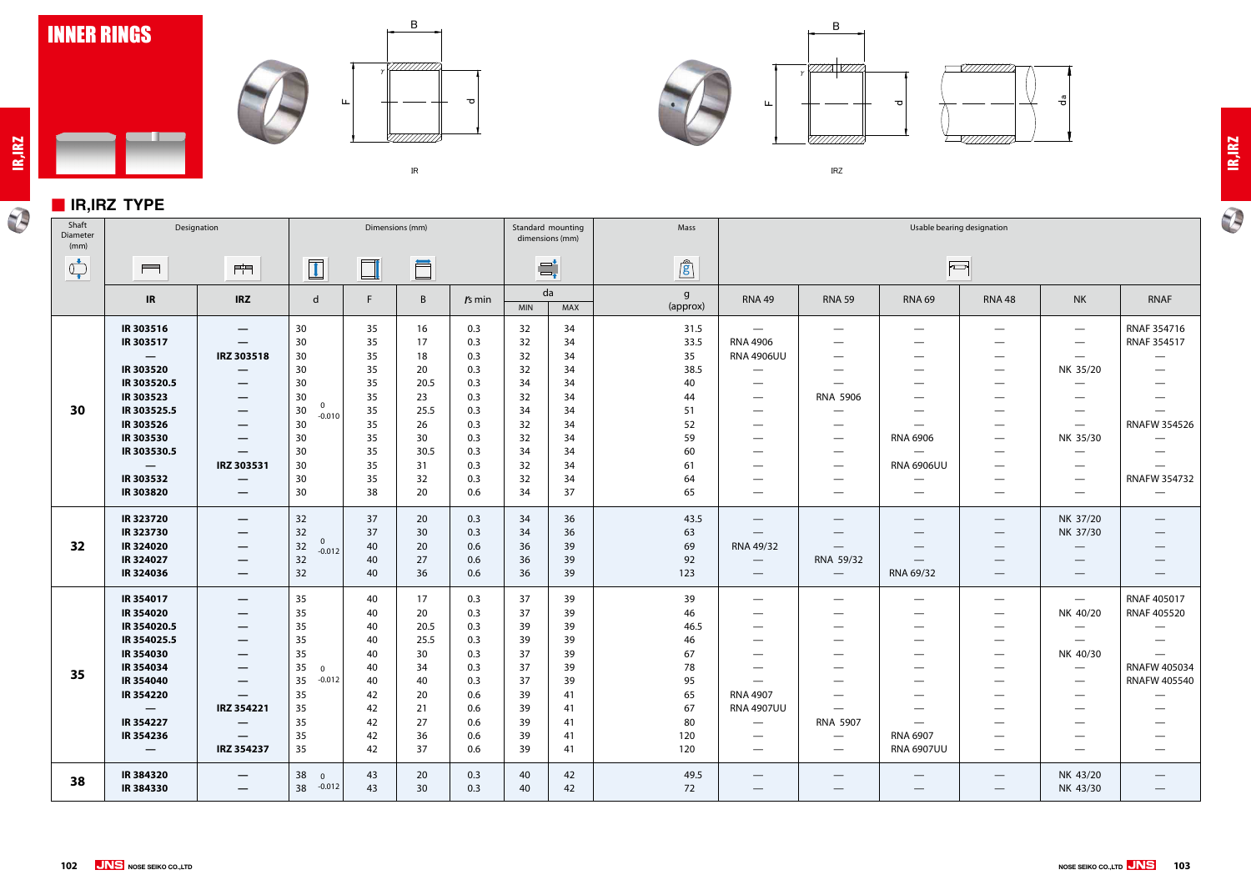

#### ■ **IR,IRZ TYPE**

a kacamatan ing Kabupatèn Kabupatèn Kabupatèn Kabupatèn Kabupatèn Kabupatèn Kabupatèn Kabupatèn Kabupatèn Kabu

 $\mathcal{P}$ 





**NOSE SEIKO CO.,LTD 103**





㻵㻾㼆



 $\bigoplus$ 

earing designation  $\Box$ RNAF 354716 — — —  $\overline{\phantom{0}}$ RNAF 354517  $\overline{\phantom{m}}$ — —  $\overline{\phantom{0}}$ NK 35/20 — — — — — — —  $\overline{\phantom{0}}$  $\equiv$  $\overline{\phantom{0}}$ RNAFW 354526 — — NK 35/30  $\overline{\phantom{m}}$ —  $\overline{\phantom{0}}$  $\overline{\phantom{0}}$ —  $U$  $\overline{\phantom{0}}$ — — RNAFW 354732 —  $\overline{\phantom{0}}$ — — — NK 37/20  $\overline{\phantom{0}}$ —  $\overline{\phantom{0}}$ NK 37/30 — —  $\overline{\phantom{0}}$ —  $\overline{\phantom{0}}$ —  $\overline{\phantom{0}}$ —  $\overline{\phantom{0}}$ — RNAF 405017 — — NK 40/20 RNAF 405520  $\overline{\phantom{0}}$  $\overline{\phantom{0}}$  $\overline{\phantom{0}}$ —  $\overline{\phantom{0}}$ — — NK 40/30 — — RNAFW 405034 — — RNAFW 405540 — —  $\overline{\phantom{0}}$ —  $\overline{\phantom{0}}$ — — —  $\overline{\phantom{0}}$ — —  $\overline{\phantom{m}}$ —  $\overline{\phantom{0}}$  $U$  $\overline{\phantom{0}}$ — — NK 43/20 —  $\overline{\phantom{0}}$ 

| Shaft<br>Diameter<br>(mm)      |                              | Designation                               |                      |          | Dimensions (mm) |            |            | Standard mounting<br>dimensions (mm) | Mass          |                                                    |                                 |                                    | Usable bearing designation                                |                                             |                                      |
|--------------------------------|------------------------------|-------------------------------------------|----------------------|----------|-----------------|------------|------------|--------------------------------------|---------------|----------------------------------------------------|---------------------------------|------------------------------------|-----------------------------------------------------------|---------------------------------------------|--------------------------------------|
| $\bigcirc_{\bullet}^{\bullet}$ | $\qquad \qquad \blacksquare$ | $\mathbb{P}^{\mathrm{lim}}$               | $\boxed{\mathbf{1}}$ | $\Box$   | Ö               |            |            | $\Xi^\star_\tau$                     | $\mathbf{r}$  |                                                    |                                 |                                    | $\Box$                                                    |                                             |                                      |
|                                | IR                           | <b>IRZ</b>                                | d                    | F        | B               | $rs$ min   | <b>MIN</b> | da<br>MAX                            | g<br>(approx) | <b>RNA 49</b>                                      | <b>RNA 59</b>                   | <b>RNA 69</b>                      | <b>RNA 48</b>                                             | <b>NK</b>                                   | <b>RNAF</b>                          |
|                                | IR 303516<br>IR 303517       | $\qquad \qquad \overline{\qquad \qquad }$ | 30 <sup>°</sup>      | 35<br>35 | 16<br>17        | 0.3<br>0.3 | 32<br>32   | 34<br>34                             | 31.5<br>33.5  | $\hspace{0.1mm}-\hspace{0.1mm}$<br><b>RNA 4906</b> | $\hspace{0.05cm}$               | $\qquad \qquad$                    |                                                           | $\hspace{0.1mm}-\hspace{0.1mm}$             | <b>RNAF 3547</b><br><b>RNAF 3545</b> |
|                                |                              | $\hspace{0.05cm}$<br>IRZ 303518           | 30<br>30             | 35       | 18              | 0.3        | 32         | 34                                   | 35            | <b>RNA 4906UU</b>                                  | —                               | $\qquad \qquad$                    | $\overbrace{\phantom{13333}}$                             | $\hspace{0.1mm}-\hspace{0.1mm}$             | $\hspace{0.05cm}$                    |
|                                | IR 303520                    |                                           | 30                   | 35       | 20              | 0.3        | 32         | 34                                   | 38.5          | $\hspace{0.05cm}$                                  |                                 | $\qquad \qquad$<br>$\qquad \qquad$ | $\overline{\phantom{0}}$<br>$\overbrace{\phantom{13333}}$ | $\hspace{0.1mm}-\hspace{0.1mm}$<br>NK 35/20 | $\hspace{0.05cm}$                    |
|                                | IR 303520.5                  |                                           | 30                   | 35       | 20.5            | 0.3        | 34         | 34                                   | 40            |                                                    |                                 |                                    |                                                           |                                             |                                      |
|                                | IR 303523                    |                                           | 30                   | 35       | 23              | 0.3        | 32         | 34                                   | 44            | $\hspace{0.05cm}$                                  | <b>RNA 5906</b>                 |                                    | —                                                         |                                             |                                      |
| 30                             | IR 303525.5                  | $\overline{\phantom{m}}$                  | $\overline{0}$<br>30 | 35       | 25.5            | 0.3        | 34         | 34                                   | 51            | $\hspace{0.05cm}$                                  | —                               | $\qquad \qquad$                    |                                                           |                                             | $\hspace{0.05cm}$                    |
|                                | IR 303526                    |                                           | $-0.010$<br>30       | 35       | 26              | 0.3        | 32         | 34                                   | 52            | $\hspace{0.05cm}$                                  | $\overline{\phantom{0}}$        | $\hspace{0.05cm}$                  | $\overline{\phantom{0}}$                                  | $\hspace{0.1mm}-\hspace{0.1mm}$             | RNAFW 35                             |
|                                | IR 303530                    |                                           | 30                   | 35       | 30              | 0.3        | 32         | 34                                   | 59            | $\hspace{0.05cm}$                                  | $\hspace{0.05cm}$               | <b>RNA 6906</b>                    | $\overline{\phantom{0}}$                                  | NK 35/30                                    | $\overline{\phantom{0}}$             |
|                                | IR 303530.5                  |                                           | 30                   | 35       | 30.5            | 0.3        | 34         | 34                                   | 60            | $\overbrace{\phantom{13333}}$                      | $\qquad \qquad$                 | $\equiv$                           |                                                           | $\qquad \qquad$                             | $\hspace{0.05cm}$                    |
|                                | $\overline{\phantom{m}}$     | IRZ 303531                                | 30                   | 35       | 31              | 0.3        | 32         | 34                                   | 61            | $\hspace{0.05cm}$                                  | $\hspace{0.05cm}$               | <b>RNA 6906UU</b>                  | $\overline{\phantom{0}}$                                  |                                             | $\overline{\phantom{0}}$             |
|                                | IR 303532                    |                                           | 30                   | 35       | 32              | 0.3        | 32         | 34                                   | 64            |                                                    |                                 |                                    | $\overline{\phantom{0}}$                                  | $\hspace{0.05cm}$                           | RNAFW 35                             |
|                                | IR 303820                    |                                           | 30                   | 38       | 20              | 0.6        | 34         | 37                                   | 65            | $\hspace{0.05cm}$                                  | —                               | $\hspace{0.1mm}-\hspace{0.1mm}$    | $\qquad \qquad \longleftarrow$                            |                                             | $\hspace{0.05cm}$                    |
|                                | IR 323720                    | $\hspace{0.1mm}-\hspace{0.1mm}$           | 32                   | 37       | 20              | 0.3        | 34         | 36                                   | 43.5          | $\hspace{0.1mm}-\hspace{0.1mm}$                    | $\hspace{0.1mm}-\hspace{0.1mm}$ | $\hspace{0.1mm}-\hspace{0.1mm}$    |                                                           | NK 37/20                                    |                                      |
|                                | IR 323730                    |                                           | 32<br>$\overline{0}$ | 37       | 30 <sup>°</sup> | 0.3        | 34         | 36                                   | 63            | $\hspace{0.1mm}-\hspace{0.1mm}$                    |                                 | $\qquad \qquad$                    | $\hspace{0.1mm}-\hspace{0.1mm}$                           | NK 37/30                                    | $\hspace{0.1mm}-\hspace{0.1mm}$      |
| 32                             | IR 324020                    | $\hspace{0.05cm}$                         | $32\,$<br>$-0.012$   | 40       | 20              | 0.6        | 36         | 39                                   | 69            | RNA 49/32                                          |                                 | $\overbrace{\phantom{12332}}$      | $\hspace{0.05cm}$                                         |                                             |                                      |
|                                | IR 324027                    | $\hspace{0.05cm}$                         | 32                   | 40       | 27              | 0.6        | 36         | 39                                   | 92            | $\hspace{0.05cm}$                                  | RNA 59/32                       |                                    |                                                           |                                             |                                      |
|                                | IR 324036                    |                                           | 32                   | 40       | 36              | 0.6        | 36         | 39                                   | 123           | $\hspace{0.1mm}-\hspace{0.1mm}$                    | $\hspace{0.1mm}-\hspace{0.1mm}$ | RNA 69/32                          |                                                           |                                             |                                      |
|                                | IR 354017                    | $\overline{\phantom{m}}$                  | 35                   | 40       | 17              | 0.3        | 37         | 39                                   | 39            | $\hspace{0.05cm}$                                  | $\hspace{0.1mm}-\hspace{0.1mm}$ | $\qquad \qquad$                    | $\overbrace{\phantom{13333}}$                             | $\overline{\phantom{0}}$                    | <b>RNAF 4050</b>                     |
|                                | IR 354020                    | $\qquad \qquad \overline{\qquad \qquad }$ | 35                   | 40       | 20              | 0.3        | 37         | 39                                   | 46            |                                                    |                                 | —                                  | $\overline{\phantom{0}}$                                  | NK 40/20                                    | <b>RNAF 4055</b>                     |
|                                | IR 354020.5                  | $\qquad \qquad \longleftarrow$            | 35                   | 40       | 20.5            | 0.3        | 39         | 39                                   | 46.5          | $\hspace{0.05cm}$                                  | —                               | $\qquad \qquad$                    | $\overbrace{\phantom{13333}}$                             | $\hspace{0.05cm}$                           |                                      |
|                                | IR 354025.5                  |                                           | 35                   | 40       | 25.5            | 0.3        | 39         | 39                                   | 46            | $\hspace{0.05cm}$                                  |                                 | $\qquad \qquad$                    | $\overbrace{\phantom{13333}}$                             | $\hspace{0.1mm}-\hspace{0.1mm}$             | $\qquad \qquad -$                    |
|                                | IR 354030                    | —                                         | 35                   | 40       | 30              | 0.3        | 37         | 39                                   | 67            |                                                    |                                 | —                                  | $\overline{\phantom{0}}$                                  | NK 40/30                                    | $\overline{\phantom{m}}$             |
| 35                             | IR 354034                    |                                           | 35<br>$\mathbf 0$    | 40       | 34              | 0.3        | 37         | 39                                   | 78            |                                                    |                                 |                                    | —                                                         |                                             | RNAFW 40                             |
|                                | IR 354040                    |                                           | 35<br>$-0.012$       | 40       | 40              | 0.3        | 37         | 39                                   | 95            |                                                    |                                 |                                    |                                                           |                                             | RNAFW 40                             |
|                                | IR 354220                    | $\overline{\phantom{0}}$                  | 35                   | 42       | 20              | 0.6        | 39         | 41                                   | 65            | <b>RNA 4907</b>                                    | —                               |                                    | —                                                         |                                             |                                      |
|                                |                              | IRZ 354221                                | 35                   | 42       | 21              | 0.6        | 39         | 41                                   | 67            | <b>RNA 4907UU</b>                                  | $\overline{\phantom{m}}$        |                                    | $\overline{\phantom{0}}$                                  |                                             |                                      |
|                                | IR 354227                    | $\overline{\phantom{m}}$                  | 35                   | 42       | 27              | 0.6        | 39         | 41                                   | 80            | $\overline{\phantom{m}}$                           | RNA 5907                        | $\overline{\phantom{m}}$           | $\overline{\phantom{0}}$                                  |                                             | $\hspace{0.1mm}-\hspace{0.1mm}$      |
|                                | IR 354236                    |                                           | 35                   | 42       | 36              | 0.6        | 39         | 41                                   | 120           | $\hspace{0.05cm}$                                  | $\overline{\phantom{m}}$        | RNA 6907                           | $\overline{\phantom{0}}$                                  |                                             |                                      |
|                                | $\overline{\phantom{0}}$     | IRZ 354237                                | 35                   | 42       | 37              | 0.6        | 39         | 41                                   | 120           | $\qquad \qquad -$                                  | $\hspace{0.05cm}$               | <b>RNA 6907UU</b>                  | $\overbrace{\phantom{13333}}$                             |                                             |                                      |
|                                | IR 384320                    | $\hspace{0.05cm}$                         | 38<br>$\overline{0}$ | 43       | 20              | 0.3        | 40         | 42                                   | 49.5          | $\hspace{0.05cm}$                                  | —                               | $\overbrace{\phantom{12332}}$      |                                                           | NK 43/20                                    |                                      |
| 38                             | IR 384330                    | $\qquad \qquad \  \  \, \bar{}$           | 38 -0.012            | 43       | 30 <sup>°</sup> | 0.3        | 40         | 42                                   | 72            | $\overbrace{\phantom{aaaaa}}$                      | —                               | $\hspace{0.1mm}-\hspace{0.1mm}$    | $\overbrace{\phantom{aaaaa}}$                             | NK 43/30                                    | $\overline{\phantom{m}}$             |
|                                |                              |                                           |                      |          |                 |            |            |                                      |               |                                                    |                                 |                                    |                                                           |                                             |                                      |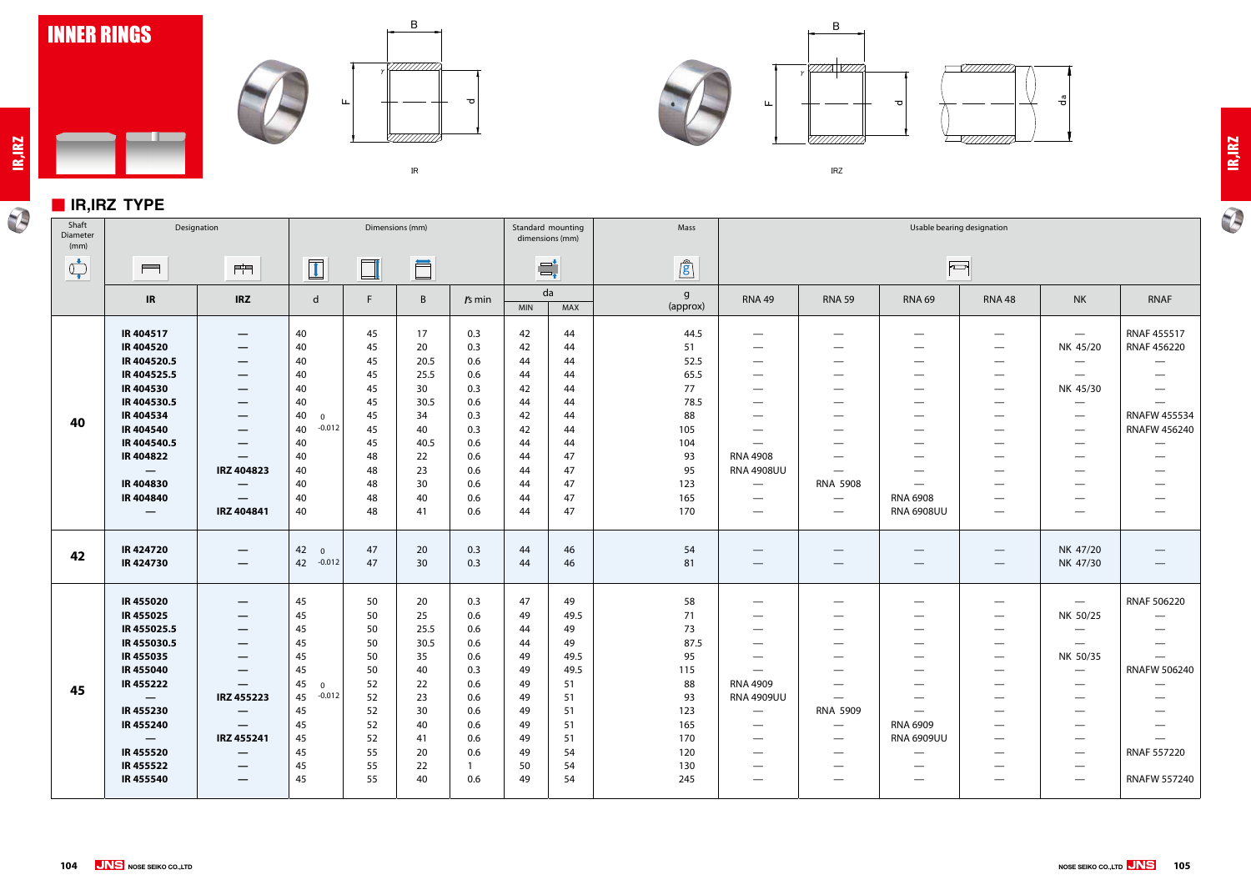

### ■ **IR,IRZ TYPE**

 $\blacksquare$ 

**IR,IRZ**









㻵㻾㼆



| Shaft<br>Diameter<br>(mm)                                                                                                                                                                                                                                                                                                                           | Designation                                                                                                                                                                                                                    |                                                                                                                                                                                                                                                                                                                                                | Dimensions (mm)                                                                                                    |                                                                                  |                                                                                          |                                                                                                |                                                                                  | Standard mounting<br>Mass<br>dimensions (mm)                                           |                                                                                               |                                                                                                                                                                                                                                                                  | Usable bearing designation                                                                                                                                                                                  |                                                                                                               |                                                                                                                                                                                                                                                                                                                                                                                     |                                                                                                                                                                                                                                                      |                                                                                                                                                                                                 |  |
|-----------------------------------------------------------------------------------------------------------------------------------------------------------------------------------------------------------------------------------------------------------------------------------------------------------------------------------------------------|--------------------------------------------------------------------------------------------------------------------------------------------------------------------------------------------------------------------------------|------------------------------------------------------------------------------------------------------------------------------------------------------------------------------------------------------------------------------------------------------------------------------------------------------------------------------------------------|--------------------------------------------------------------------------------------------------------------------|----------------------------------------------------------------------------------|------------------------------------------------------------------------------------------|------------------------------------------------------------------------------------------------|----------------------------------------------------------------------------------|----------------------------------------------------------------------------------------|-----------------------------------------------------------------------------------------------|------------------------------------------------------------------------------------------------------------------------------------------------------------------------------------------------------------------------------------------------------------------|-------------------------------------------------------------------------------------------------------------------------------------------------------------------------------------------------------------|---------------------------------------------------------------------------------------------------------------|-------------------------------------------------------------------------------------------------------------------------------------------------------------------------------------------------------------------------------------------------------------------------------------------------------------------------------------------------------------------------------------|------------------------------------------------------------------------------------------------------------------------------------------------------------------------------------------------------------------------------------------------------|-------------------------------------------------------------------------------------------------------------------------------------------------------------------------------------------------|--|
| $\begin{picture}(220,20) \put(0,0){\line(1,0){10}} \put(15,0){\line(1,0){10}} \put(15,0){\line(1,0){10}} \put(15,0){\line(1,0){10}} \put(15,0){\line(1,0){10}} \put(15,0){\line(1,0){10}} \put(15,0){\line(1,0){10}} \put(15,0){\line(1,0){10}} \put(15,0){\line(1,0){10}} \put(15,0){\line(1,0){10}} \put(15,0){\line(1,0){10}} \put(15,0){\line($ | $\qquad \qquad \blacksquare$                                                                                                                                                                                                   | $\frac{1}{\ x\ }$                                                                                                                                                                                                                                                                                                                              | $\boxed{1}$                                                                                                        | $\Box$                                                                           | Ö                                                                                        |                                                                                                |                                                                                  | $\equiv_{\bullet}^{\bullet}$                                                           | $\mathbf{r}$                                                                                  |                                                                                                                                                                                                                                                                  |                                                                                                                                                                                                             |                                                                                                               | $\overline{a}$                                                                                                                                                                                                                                                                                                                                                                      |                                                                                                                                                                                                                                                      |                                                                                                                                                                                                 |  |
|                                                                                                                                                                                                                                                                                                                                                     | IR                                                                                                                                                                                                                             | <b>IRZ</b>                                                                                                                                                                                                                                                                                                                                     | $\mathsf{d}$                                                                                                       | F                                                                                | $\mathsf{B}$                                                                             | $rs$ min                                                                                       | <b>MIN</b>                                                                       | da<br>MAX                                                                              | $\mathsf{g}$<br>(approx)                                                                      | <b>RNA 49</b>                                                                                                                                                                                                                                                    | <b>RNA 59</b>                                                                                                                                                                                               | <b>RNA 69</b>                                                                                                 | <b>RNA 48</b>                                                                                                                                                                                                                                                                                                                                                                       | <b>NK</b>                                                                                                                                                                                                                                            | RNAF                                                                                                                                                                                            |  |
| 40                                                                                                                                                                                                                                                                                                                                                  | IR 404517<br><b>IR404520</b><br>IR 404520.5<br>IR 404525.5<br>IR404530<br>IR404530.5<br>IR404534<br><b>IR404540</b><br>IR404540.5<br>IR 404822<br>$\overline{\phantom{0}}$<br>IR404830<br><b>IR404840</b><br>$\hspace{0.05cm}$ | $\overline{\phantom{m}}$<br>$\overline{\phantom{m}}$<br>$\qquad \qquad \  \  \, -$<br>$\overline{\phantom{m}}$<br>$\overline{\phantom{m}}$<br>$\qquad \qquad \overline{\qquad \qquad }$<br>$\hspace{0.1mm}-\hspace{0.1mm}$<br>$\hspace{0.05cm}$<br>$\overline{\phantom{0}}$<br>IRZ 404823<br>—<br>$\qquad \qquad \longleftarrow$<br>IRZ 404841 | 40<br>40<br>40<br>40<br>40<br>40<br>40<br>$\Omega$<br>$-0.012$<br>40<br>40<br>40<br>40<br>40<br>40<br>40           | 45<br>45<br>45<br>45<br>45<br>45<br>45<br>45<br>45<br>48<br>48<br>48<br>48<br>48 | 17<br>20<br>20.5<br>25.5<br>30<br>30.5<br>34<br>40<br>40.5<br>22<br>23<br>30<br>40<br>41 | 0.3<br>0.3<br>0.6<br>0.6<br>0.3<br>0.6<br>0.3<br>0.3<br>0.6<br>0.6<br>0.6<br>0.6<br>0.6<br>0.6 | 42<br>42<br>44<br>44<br>42<br>44<br>42<br>42<br>44<br>44<br>44<br>44<br>44<br>44 | 44<br>44<br>44<br>44<br>44<br>44<br>44<br>44<br>44<br>47<br>47<br>47<br>47<br>47       | 44.5<br>51<br>52.5<br>65.5<br>77<br>78.5<br>88<br>105<br>104<br>93<br>95<br>123<br>165<br>170 | $\qquad \qquad \longleftarrow$<br>$\hspace{0.1mm}-\hspace{0.1mm}$<br>$\qquad \qquad \longleftarrow$<br>$\hspace{0.05cm}$<br>—<br>$\hspace{0.05cm}$<br>$\overline{\phantom{m}}$<br><b>RNA 4908</b><br><b>RNA 4908UU</b><br>$\hspace{0.05cm}$<br>$\hspace{0.05cm}$ | $\hspace{0.05cm}$<br>—<br>$\hspace{0.05cm}$<br>—<br>—<br>$\hspace{0.05cm}$<br>—<br>$\hspace{0.05cm}$<br>$\overline{\phantom{0}}$<br><b>RNA 5908</b><br>$\overline{\phantom{m}}$<br>$\overline{\phantom{m}}$ | $\hspace{0.1mm}-\hspace{0.1mm}$<br>$\overbrace{\phantom{aaaaa}}$<br>—<br><b>RNA 6908</b><br><b>RNA 6908UU</b> | $\hspace{0.1mm}-\hspace{0.1mm}$<br>$\hspace{0.1mm}-\hspace{0.1mm}$<br>$\overbrace{\phantom{aaaaa}}$<br>$\hspace{0.1mm}-\hspace{0.1mm}$<br>$\hspace{0.1mm}-\hspace{0.1mm}$<br>$\hspace{0.1mm}-\hspace{0.1mm}$<br>$\overbrace{\phantom{aaaaa}}$<br>$\overbrace{\phantom{aaaaa}}$<br>$\overbrace{\phantom{aaaaa}}$<br>$\overbrace{\phantom{aaaaa}}$<br>$\hspace{0.1mm}-\hspace{0.1mm}$ | $\hspace{0.05cm}$<br>NK 45/20<br>$\overline{\phantom{m}}$<br>$\overline{\phantom{m}}$<br>NK 45/30<br>$\overline{\phantom{m}}$<br>$\hspace{0.1mm}-\hspace{0.1mm}$<br>$\hspace{0.05cm}$<br>$\hspace{0.05cm}$<br>$\hspace{0.05cm}$<br>$\hspace{0.05cm}$ | RNAF 455517<br>RNAF 456220<br>$\hspace{0.05cm}$<br>$\hspace{0.05cm}$<br>$\hspace{0.05cm}$<br>$\hspace{0.05cm}$<br><b>RNAFW 455534</b><br>RNAFW 456240<br>$\hspace{0.05cm}$<br>$\hspace{0.05cm}$ |  |
| 42                                                                                                                                                                                                                                                                                                                                                  | IR424720<br>IR424730                                                                                                                                                                                                           | $\overline{\phantom{m}}$<br>$\overline{\phantom{m}}$                                                                                                                                                                                                                                                                                           | 42 <sub>0</sub><br>42 -0.012                                                                                       | 47<br>47                                                                         | 20<br>30                                                                                 | 0.3<br>0.3                                                                                     | 44<br>44                                                                         | 46<br>46                                                                               | 54<br>81                                                                                      |                                                                                                                                                                                                                                                                  | $\hspace{0.05cm}$                                                                                                                                                                                           | $\qquad \qquad$                                                                                               | $\hspace{0.1mm}-\hspace{0.1mm}$<br>$\hspace{0.1mm}-\hspace{0.1mm}$                                                                                                                                                                                                                                                                                                                  | NK 47/20<br>NK 47/30                                                                                                                                                                                                                                 | $\hspace{0.05cm}$                                                                                                                                                                               |  |
| 45                                                                                                                                                                                                                                                                                                                                                  | IR455020<br>IR455025<br>IR455025.5<br>IR455030.5<br>IR455035<br>IR455040<br>IR455222<br>$\overline{\phantom{0}}$<br><b>IR455230</b><br><b>IR455240</b><br>$\overline{\phantom{0}}$<br><b>IR455520</b><br>IR 455522<br>IR455540 | $\overline{\phantom{m}}$<br>—<br>$\hspace{0.1mm}-\hspace{0.1mm}$<br>$\overline{\phantom{m}}$<br>$\qquad \qquad \longleftarrow$<br>—<br>IRZ 455223<br>$\qquad \qquad \longleftarrow$<br>IRZ 455241<br>—<br>—<br>—                                                                                                                               | 45<br>45<br>45<br>45<br>45<br>45<br>45<br>$\overline{\mathbf{0}}$<br>45 -0.012<br>45<br>45<br>45<br>45<br>45<br>45 | 50<br>50<br>50<br>50<br>50<br>50<br>52<br>52<br>52<br>52<br>52<br>55<br>55<br>55 | 20<br>25<br>25.5<br>30.5<br>35<br>40<br>22<br>23<br>30<br>40<br>41<br>20<br>22<br>40     | 0.3<br>0.6<br>0.6<br>0.6<br>0.6<br>0.3<br>0.6<br>0.6<br>0.6<br>0.6<br>0.6<br>0.6<br>0.6        | 47<br>49<br>44<br>44<br>49<br>49<br>49<br>49<br>49<br>49<br>49<br>49<br>50<br>49 | 49<br>49.5<br>49<br>49<br>49.5<br>49.5<br>51<br>51<br>51<br>51<br>51<br>54<br>54<br>54 | 58<br>71<br>73<br>87.5<br>95<br>115<br>88<br>93<br>123<br>165<br>170<br>120<br>130<br>245     | $\qquad \qquad \longleftarrow$<br>-<br>—<br><b>RNA 4909</b><br><b>RNA 4909UU</b>                                                                                                                                                                                 | $\overline{\phantom{0}}$<br>—<br>$\overline{\phantom{0}}$<br><b>RNA 5909</b><br>$\overline{\phantom{m}}$<br>—                                                                                               | $\overbrace{\phantom{13333}}$<br>RNA 6909<br><b>RNA 6909UU</b>                                                | $\hspace{0.1mm}-\hspace{0.1mm}$<br>$\hspace{0.1mm}-\hspace{0.1mm}$<br>$\hspace{0.1mm}-\hspace{0.1mm}$<br>$\hspace{0.1mm}-\hspace{0.1mm}$<br>$\hspace{0.1mm}-\hspace{0.1mm}$<br>$\hspace{0.1mm}-\hspace{0.1mm}$                                                                                                                                                                      | $\overline{\phantom{m}}$<br>NK 50/25<br>$\hspace{0.05cm}$<br>$\hspace{0.05cm}$<br>NK 50/35<br>$\hspace{0.05cm}$                                                                                                                                      | RNAF 506220<br>$\overline{\phantom{m}}$<br><b>RNAFW 506240</b><br>RNAF 557220<br><b>RNAFW 557240</b>                                                                                            |  |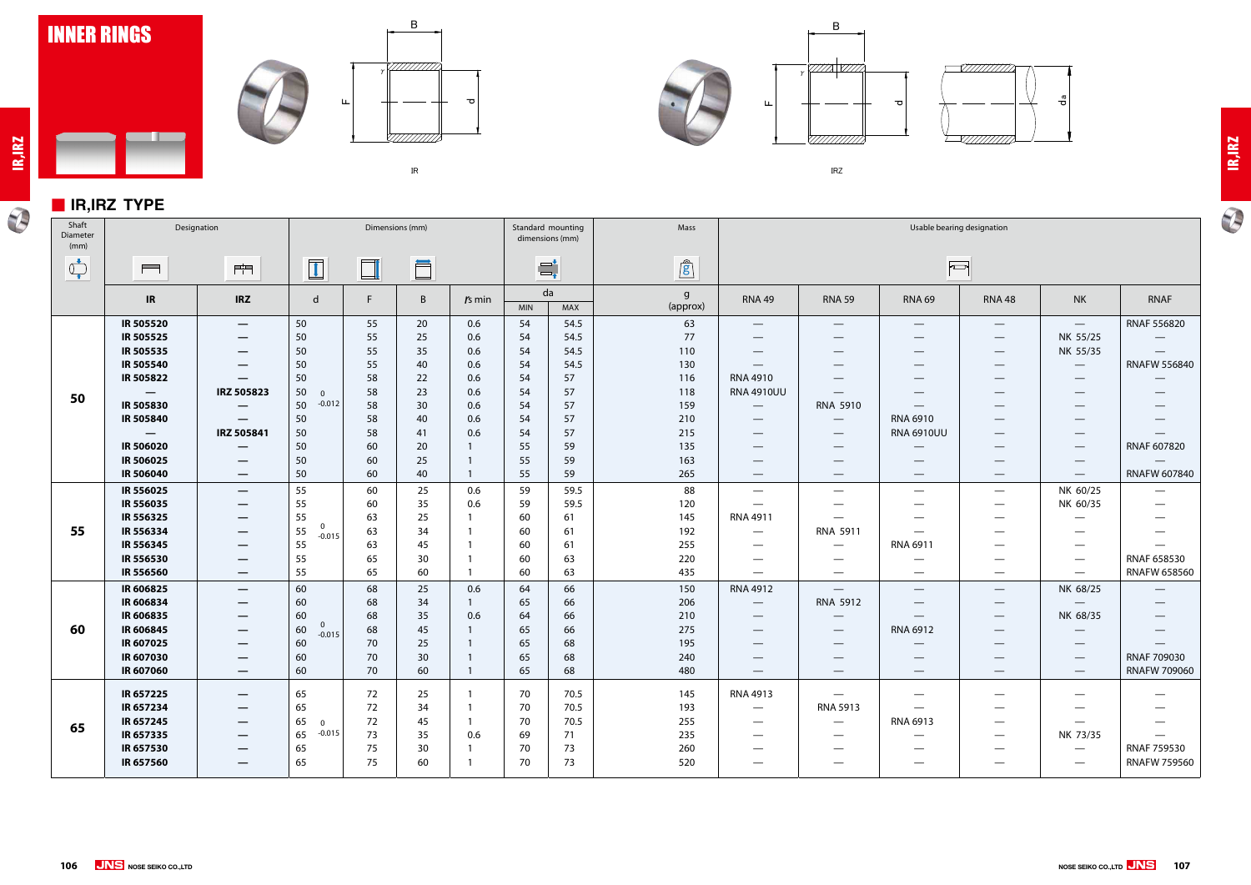

### ■ **IR,IRZ TYPE**

 $\blacksquare$ 









㻵㻾㼆





| Shaft<br>Diameter<br>(mm)      | Designation                     |                                               | Dimensions (mm)                  |          |              |                          | Standard mounting<br>dimensions (mm) | Mass      | Usable bearing designation |                                           |                                      |                                  |                                 |                                  |                                 |
|--------------------------------|---------------------------------|-----------------------------------------------|----------------------------------|----------|--------------|--------------------------|--------------------------------------|-----------|----------------------------|-------------------------------------------|--------------------------------------|----------------------------------|---------------------------------|----------------------------------|---------------------------------|
| $\bigcirc_{\bullet}^{\bullet}$ | $\qquad \qquad \blacksquare$    | $\frac{1}{\  \mathbf{1} \cdot \mathbf{1} \ }$ | $\boxed{1}$                      | $\Box$   | Ö            |                          |                                      | $\equiv$  | $\mathbf{r}$               |                                           |                                      | $\sqrt{2}$                       |                                 |                                  |                                 |
|                                | IR                              | <b>IRZ</b>                                    | d                                | F.       | $\mathsf{B}$ | $rs$ min                 | <b>MIN</b>                           | da<br>MAX | $\mathsf{g}$<br>(approx)   | <b>RNA 49</b>                             | <b>RNA 59</b>                        | <b>RNA 69</b>                    | <b>RNA 48</b>                   | <b>NK</b>                        | <b>RNAF</b>                     |
|                                | <b>IR 505520</b>                | $\overline{\phantom{m}}$                      | 50                               | 55       | 20           | 0.6                      | 54                                   | 54.5      | 63                         |                                           | $\overbrace{\phantom{13333}}$        | $\hspace{0.1mm}-\hspace{0.1mm}$  | $\hspace{0.1mm}-\hspace{0.1mm}$ | $\hspace{0.1mm}-\hspace{0.1mm}$  | <b>RNAF 556820</b>              |
|                                | IR 505525                       |                                               | 50                               | 55       | 25           | 0.6                      | 54                                   | 54.5      | 77                         |                                           | $\hspace{0.05cm}$                    | $\overbrace{\phantom{12322111}}$ | $\hspace{0.1mm}-\hspace{0.1mm}$ | NK 55/25                         | $\overline{\phantom{m}}$        |
|                                | IR 505535                       | $\hspace{0.1mm}-\hspace{0.1mm}$               | 50                               | 55       | 35           | 0.6                      | 54                                   | 54.5      | 110                        | $\hspace{0.05cm}$                         | $\hspace{0.1mm}-\hspace{0.1mm}$      | $\hspace{0.1mm}-\hspace{0.1mm}$  | $\hspace{0.1mm}-\hspace{0.1mm}$ | NK 55/35                         | $\overline{\phantom{m}}$        |
|                                | <b>IR 505540</b>                | —                                             | 50                               | 55       | 40           | 0.6                      | 54                                   | 54.5      | 130                        | $\qquad \qquad \longleftarrow$            | $\hspace{0.1mm}-\hspace{0.1mm}$      |                                  | $\hspace{0.1mm}-\hspace{0.1mm}$ | $\hspace{0.1mm}-\hspace{0.1mm}$  | <b>RNAFW 556840</b>             |
|                                | IR 505822                       | —                                             | 50                               | 58       | 22           | 0.6                      | 54                                   | 57        | 116                        | <b>RNA 4910</b>                           | $\hspace{0.05cm}$                    |                                  | $\hspace{0.1mm}-\hspace{0.1mm}$ |                                  | $\hspace{0.05cm}$               |
| 50                             | $\overline{\phantom{0}}$        | IRZ 505823                                    | 50<br>$\overline{0}$             | 58       | 23           | 0.6                      | 54                                   | 57        | 118                        | <b>RNA 4910UU</b>                         | $\hspace{0.1mm}-\hspace{0.1mm}$      | —                                | $\hspace{0.1mm}-\hspace{0.1mm}$ | $\hspace{0.05cm}$                |                                 |
|                                | IR 505830                       | $\hspace{0.05cm}$                             | $-0.012$<br>50                   | 58       | 30           | 0.6                      | 54                                   | 57        | 159                        | $\hspace{0.1mm}-\hspace{0.1mm}$           | RNA 5910                             | $\hspace{0.1mm}-\hspace{0.1mm}$  | $\qquad \qquad$                 | $\hspace{0.05cm}$                |                                 |
|                                | <b>IR 505840</b>                | $\hspace{0.1mm}-\hspace{0.1mm}$               | 50                               | 58       | 40           | 0.6                      | 54                                   | 57        | 210                        | $\hspace{0.05cm}$                         | $\hspace{0.1mm}-\hspace{0.1mm}$      | RNA 6910                         | $\hspace{0.1mm}-\hspace{0.1mm}$ | $\overbrace{\phantom{12333}}$    |                                 |
|                                | $\hspace{0.1mm}-\hspace{0.1mm}$ | IRZ 505841                                    | 50                               | 58       | 41           | 0.6                      | 54                                   | 57        | 215                        | $\hspace{0.05cm}$                         | $\overline{\phantom{m}}$             | <b>RNA 6910UU</b>                | $\hspace{0.05cm}$               | $\hspace{0.1mm}-\hspace{0.1mm}$  |                                 |
|                                | <b>IR 506020</b>                |                                               | 50                               | 60       | 20           |                          | 55                                   | 59        | 135                        |                                           | $\qquad \qquad$                      |                                  |                                 | $\hspace{0.1mm}-\hspace{0.1mm}$  | RNAF 607820                     |
|                                | IR 506025                       |                                               | 50                               | 60       | 25           |                          | 55                                   | 59        | 163                        |                                           | $\hspace{0.05cm}$                    |                                  | $\hspace{0.1mm}-\hspace{0.1mm}$ |                                  |                                 |
|                                | <b>IR 506040</b>                | $\overline{\phantom{m}}$                      | 50                               | 60       | 40           | -1                       | 55                                   | 59        | 265                        | $\overline{\phantom{0}}$                  | $\overline{\phantom{m}}$             | $\hspace{0.1mm}-\hspace{0.1mm}$  | $\overline{\phantom{m}}$        | $\hspace{0.1mm}-\hspace{0.1mm}$  | RNAFW 607840                    |
|                                | IR 556025                       | $\hspace{0.1mm}-\hspace{0.1mm}$               | 55                               | 60       | 25           | 0.6                      | 59                                   | 59.5      | 88                         |                                           |                                      | $\hspace{0.05cm}$                | $\overbrace{\phantom{aaaaa}}$   | NK 60/25                         | $\hspace{0.1mm}-\hspace{0.1mm}$ |
|                                | IR 556035                       |                                               | 55                               | 60       | 35           | 0.6                      | 59                                   | 59.5      | 120                        | $\qquad \qquad \overline{\qquad \qquad }$ |                                      |                                  | $\overbrace{\phantom{aaaaa}}$   | NK 60/35                         |                                 |
|                                | IR 556325                       | –                                             | 55                               | 63       | 25           |                          | 60                                   | 61        | 145                        | <b>RNA 4911</b>                           |                                      |                                  | $\hspace{0.1mm}-\hspace{0.1mm}$ | $\hspace{0.05cm}$                |                                 |
| 55                             | IR 556334                       | $\hspace{0.1mm}-\hspace{0.1mm}$               | 0<br>55<br>$-0.015$              | 63       | 34           |                          | 60                                   | 61        | 192                        | $\hspace{0.05cm}$                         | RNA 5911                             |                                  | $\overbrace{\phantom{aaaaa}}$   | $\qquad \qquad$                  |                                 |
|                                | IR 556345                       |                                               | 55                               | 63       | 45           |                          | 60                                   | 61        | 255                        |                                           | $\hspace{0.05cm}$                    | RNA 6911                         | $\hspace{0.05cm}$               | $\overbrace{\phantom{aaaaa}}$    | $\overline{\phantom{m}}$        |
|                                | IR 556530                       | $\hspace{0.1mm}-\hspace{0.1mm}$               | 55                               | 65       | 30           | -1                       | 60                                   | 63        | 220                        |                                           | $\hspace{0.05cm}$                    | $\hspace{0.05cm}$                | $\overbrace{\phantom{aaaaa}}$   | $\hspace{0.1mm}-\hspace{0.1mm}$  | RNAF 658530                     |
|                                | IR 556560                       |                                               | 55                               | 65       | 60           | $\overline{\phantom{a}}$ | 60                                   | 63        | 435                        | $\qquad \qquad \overline{\qquad \qquad }$ | $\overbrace{\phantom{12322111}}$     | $\hspace{0.05cm}$                | $\hspace{0.05cm}$               | $\hspace{0.05cm}$                | <b>RNAFW 658560</b>             |
|                                | IR 606825                       | $\overline{\phantom{m}}$                      | 60                               | 68       | 25           | 0.6                      | 64                                   | 66        | 150                        | <b>RNA 4912</b>                           | $\hspace{0.1mm}-\hspace{0.1mm}$      | $\hspace{0.1mm}-\hspace{0.1mm}$  | $\hspace{0.1mm}-\hspace{0.1mm}$ | NK 68/25                         | $\overline{\phantom{0}}$        |
|                                | IR 606834                       | $\overline{\phantom{m}}$                      | 60                               | 68       | 34           |                          | 65                                   | 66        | 206                        | $\hspace{0.1mm}-\hspace{0.1mm}$           | RNA 5912                             | $\hspace{0.1mm}-\hspace{0.1mm}$  | $\hspace{0.1mm}-\hspace{0.1mm}$ | $\hspace{0.05cm}$                |                                 |
|                                | IR 606835                       | $\hspace{0.1mm}-\hspace{0.1mm}$               | 60                               | 68       | 35           | 0.6                      | 64                                   | 66        | 210                        | $\hspace{0.1mm}-\hspace{0.1mm}$           | $\hspace{0.1mm}-\hspace{0.1mm}$      | $\hspace{0.1mm}-\hspace{0.1mm}$  | $\hspace{0.1mm}-\hspace{0.1mm}$ | NK 68/35                         | $\hspace{0.1mm}-\hspace{0.1mm}$ |
| 60                             | IR 606845                       | $\hspace{0.1mm}-\hspace{0.1mm}$               | $\mathbf 0$<br>60<br>$-0.015$    | 68       | 45           |                          | 65                                   | 66        | 275                        | $\qquad \qquad -$                         | $\hspace{0.1mm}-\hspace{0.1mm}$      | RNA 6912                         | $\hspace{0.1mm}-\hspace{0.1mm}$ | $\overbrace{\phantom{12322111}}$ |                                 |
|                                | IR 607025                       | $\hspace{0.1mm}-\hspace{0.1mm}$               | 60                               | 70       | 25           |                          | 65                                   | 68        | 195                        |                                           | $\sim$                               |                                  | $\qquad \qquad$                 | $\hspace{0.05cm}$                |                                 |
|                                | IR 607030                       |                                               | 60                               | 70       | 30           |                          | 65                                   | 68        | 240                        |                                           |                                      |                                  | $\hspace{0.1mm}-\hspace{0.1mm}$ | $\hspace{0.1mm}-\hspace{0.1mm}$  | RNAF 709030                     |
|                                | IR 607060                       | $\overline{\phantom{m}}$                      | 60                               | 70       | 60           |                          | 65                                   | 68        | 480                        | $\overline{\phantom{0}}$                  | $\hspace{0.05cm}$                    | $\hspace{0.1mm}-\hspace{0.1mm}$  | $\hspace{0.1mm}-\hspace{0.1mm}$ | $\hspace{0.1mm}-\hspace{0.1mm}$  | <b>RNAFW 709060</b>             |
|                                | IR 657225                       |                                               | 65                               | 72       | 25           |                          | 70                                   | 70.5      | 145                        | RNA 4913                                  |                                      |                                  |                                 |                                  |                                 |
|                                | IR 657234                       | –                                             |                                  |          |              |                          |                                      | 70.5      | 193                        |                                           | $\hspace{0.05cm}$<br><b>RNA 5913</b> |                                  |                                 |                                  |                                 |
|                                | IR 657245                       |                                               | 65<br>65                         | 72<br>72 | 34<br>45     |                          | 70<br>70                             | 70.5      | 255                        |                                           |                                      | —<br>RNA 6913                    |                                 |                                  |                                 |
| 65                             | IR 657335                       | —                                             | $\overline{0}$<br>$-0.015$<br>65 | 73       | 35           | 0.6                      | 69                                   | 71        | 235                        |                                           | $\hspace{0.05cm}$                    |                                  |                                 | $\hspace{0.05cm}$<br>NK 73/35    |                                 |
|                                | IR 657530                       | —                                             |                                  | 75       |              |                          | 70                                   |           | 260                        |                                           | –                                    |                                  |                                 |                                  | RNAF 759530                     |
|                                | IR 657560                       | —                                             | 65<br>65                         | 75       | 30<br>60     |                          | 70                                   | 73<br>73  | 520                        | —                                         |                                      | –                                | $\hspace{0.1mm}-\hspace{0.1mm}$ | $\hspace{0.05cm}$                | <b>RNAFW 759560</b>             |
|                                |                                 | $\hspace{0.1mm}-\hspace{0.1mm}$               |                                  |          |              |                          |                                      |           |                            | –                                         | –                                    |                                  |                                 | $\qquad \qquad$                  |                                 |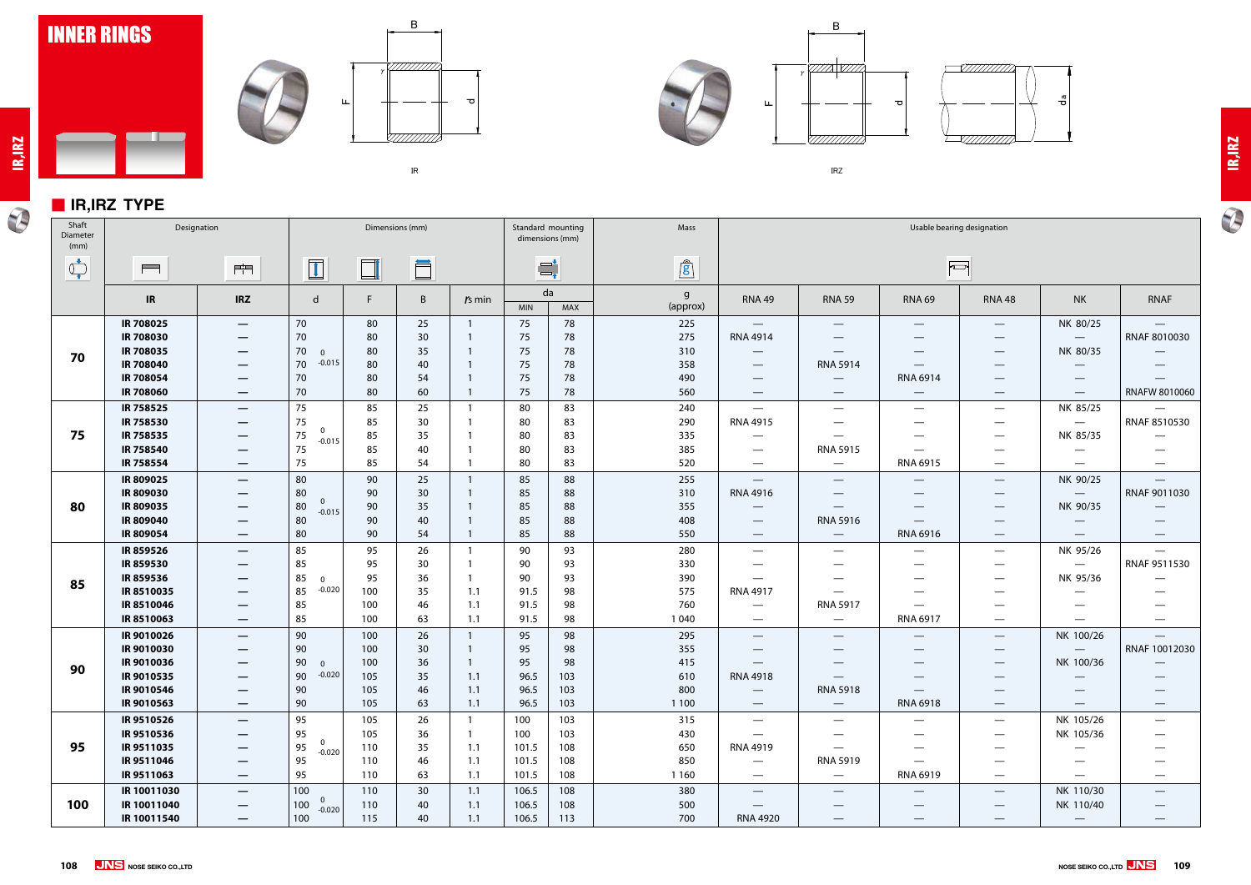

### ■ **IR,IRZ TYPE**

<u>a ba</u>

 $\overline{\bigcirc}$ 











㻵㻾㼆



| Shaft<br>Diameter<br>(mm) | Designation                                                                                            |                                                                                                                                                        | Dimensions (mm)                                          |                                        |                                  | Standard mounting<br>dimensions (mm) |                                        | Mass                                |                                            |                                                                                                                                 |                                                                                                                                        | Usable bearing designation                                                                                                                |                                                                                                                                                                             |                                                                                                                      |                                                                              |
|---------------------------|--------------------------------------------------------------------------------------------------------|--------------------------------------------------------------------------------------------------------------------------------------------------------|----------------------------------------------------------|----------------------------------------|----------------------------------|--------------------------------------|----------------------------------------|-------------------------------------|--------------------------------------------|---------------------------------------------------------------------------------------------------------------------------------|----------------------------------------------------------------------------------------------------------------------------------------|-------------------------------------------------------------------------------------------------------------------------------------------|-----------------------------------------------------------------------------------------------------------------------------------------------------------------------------|----------------------------------------------------------------------------------------------------------------------|------------------------------------------------------------------------------|
| $\sigma$                  | $\blacksquare$                                                                                         | $\mathbb{H}^{\mathbb{H}}$                                                                                                                              | $\overline{\mathbf{1}}$                                  | $\Box$                                 | Ö                                |                                      | $\Xi^\star_\bullet$                    |                                     | $\hat{g}$                                  |                                                                                                                                 |                                                                                                                                        |                                                                                                                                           | $\overline{\mathbb{C}}$                                                                                                                                                     |                                                                                                                      |                                                                              |
|                           | IR                                                                                                     | <b>IRZ</b>                                                                                                                                             | d                                                        | F.                                     | B                                | $rs$ min                             | da<br><b>MIN</b>                       | MAX                                 | $\mathsf{g}$<br>(approx)                   | <b>RNA 49</b>                                                                                                                   | <b>RNA 59</b>                                                                                                                          | <b>RNA 69</b>                                                                                                                             | <b>RNA 48</b>                                                                                                                                                               | <b>NK</b>                                                                                                            | <b>RNAF</b>                                                                  |
| 70                        | IR 708025<br><b>IR 708030</b><br>IR 708035<br><b>IR 708040</b><br><b>IR 708054</b><br><b>IR 708060</b> | $\overline{\phantom{m}}$<br>$\hspace{0.05cm}$<br>$\hspace{0.1mm}-\hspace{0.1mm}$<br>$\hspace{0.1mm}-\hspace{0.1mm}$<br>$\overline{\phantom{m}}$        | 70<br>70<br>70<br>$\Omega$<br>$-0.015$<br>70<br>70<br>70 | 80<br>80<br>80<br>80<br>80<br>80       | 25<br>30<br>35<br>40<br>54<br>60 |                                      | 75<br>75<br>75<br>75<br>75<br>75       | 78<br>78<br>78<br>78<br>78<br>78    | 225<br>275<br>310<br>358<br>490<br>560     | $\overline{\phantom{0}}$<br><b>RNA 4914</b><br>$\hspace{0.1mm}-\hspace{0.1mm}$<br>—<br>$\overline{\phantom{0}}$                 | $\overline{\phantom{0}}$<br>$\overline{\phantom{0}}$<br><b>RNA 5914</b><br>$\overline{\phantom{0}}$<br>$\hspace{0.1mm}-\hspace{0.1mm}$ | $\hspace{0.1mm}-\hspace{0.1mm}$<br>$\overline{\phantom{m}}$<br>—<br>$\qquad \qquad$<br><b>RNA 6914</b><br>$\hspace{0.1mm}-\hspace{0.1mm}$ | $\hspace{0.1mm}-\hspace{0.1mm}$<br>$\hspace{0.1mm}-\hspace{0.1mm}$<br>$\hspace{0.1mm}-\hspace{0.1mm}$<br>$\hspace{0.1mm}-\hspace{0.1mm}$<br>$\hspace{0.1mm}-\hspace{0.1mm}$ | NK 80/25<br>$\hspace{0.05cm}$<br>NK 80/35<br>$\hspace{0.05cm}$<br>$\qquad \qquad$<br>$\hspace{0.1mm}-\hspace{0.1mm}$ | $\overline{\phantom{m}}$<br>RNAF 8010030<br>RNAFW 8010060                    |
| 75                        | IR 758525<br>IR 758530<br>IR 758535<br><b>IR 758540</b><br>IR 758554                                   | $\overline{\phantom{m}}$<br>—<br>$\overline{\phantom{m}}$<br>$\overline{\phantom{m}}$                                                                  | 75<br>75<br>$\Omega$<br>75<br>$-0.015$<br>75<br>75       | 85<br>85<br>85<br>85<br>85             | 25<br>30<br>35<br>40<br>54       |                                      | 80<br>80<br>80<br>80<br>80             | 83<br>83<br>83<br>83<br>83          | 240<br>290<br>335<br>385<br>520            | $\hspace{0.05cm}$<br>RNA 4915<br>—<br>$\hspace{0.05cm}$<br>$\hspace{0.05cm}$                                                    | —<br><b>RNA 5915</b>                                                                                                                   | $\overline{\phantom{m}}$<br><b>RNA 6915</b>                                                                                               | $\hspace{0.1mm}-\hspace{0.1mm}$<br>$\overbrace{\phantom{aaaaa}}$<br>$\overbrace{\phantom{aaaaa}}$<br>$\hspace{0.05cm}$                                                      | NK 85/25<br>NK 85/35<br>$\hspace{0.05cm}$<br>—                                                                       | $\overline{\phantom{m}}$<br>RNAF 8510530<br>$\hspace{0.1mm}-\hspace{0.1mm}$  |
| 80                        | IR 809025<br>IR 809030<br>IR809035<br>IR 809040<br>IR 809054                                           | $\hspace{0.05cm}$<br>$\hspace{0.1mm}-\hspace{0.1mm}$<br>$\hspace{0.05cm}$<br>$\hspace{0.05cm}$                                                         | 80<br>80<br>$\mathbf 0$<br>80<br>$-0.015$<br>80<br>80    | 90<br>90<br>90<br>90<br>90             | 25<br>30<br>35<br>40<br>54       |                                      | 85<br>85<br>85<br>85<br>85             | 88<br>88<br>88<br>88<br>88          | 255<br>310<br>355<br>408<br>550            | $\overline{\phantom{0}}$<br><b>RNA 4916</b><br>$\hspace{0.1mm}-\hspace{0.1mm}$<br>$\hspace{0.05cm}$<br>$\overline{\phantom{0}}$ | —<br><b>RNA 5916</b><br>$\overline{\phantom{m}}$                                                                                       | $\qquad \qquad$<br>$\qquad \qquad$<br><b>RNA 6916</b>                                                                                     | $\overline{\phantom{a}}$<br>$\hspace{0.1mm}-\hspace{0.1mm}$<br>$\hspace{0.1mm}-\hspace{0.1mm}$<br>$\overbrace{\phantom{13333}}$<br>$\overline{\phantom{m}}$                 | NK 90/25<br>$\hspace{0.05cm}$<br>NK 90/35<br>$\hspace{0.1mm}-\hspace{0.1mm}$<br>$\hspace{0.1mm}-\hspace{0.1mm}$      | $\overline{\phantom{m}}$<br>RNAF 9011030<br>$\hspace{0.1mm}-\hspace{0.1mm}$  |
| 85                        | <b>IR 859526</b><br>IR859530<br>IR859536<br>IR8510035<br>IR8510046<br>IR8510063                        | $\overline{\phantom{m}}$<br>$\hspace{0.1mm}-\hspace{0.1mm}$<br>$\hspace{0.1mm}-\hspace{0.1mm}$<br>$\hspace{0.1mm}-\hspace{0.1mm}$<br>$\hspace{0.05cm}$ | 85<br>85<br>85<br>$\Omega$<br>$-0.020$<br>85<br>85<br>85 | 95<br>95<br>95<br>100<br>100<br>100    | 26<br>30<br>36<br>35<br>46<br>63 | 1.1<br>1.1<br>1.1                    | 90<br>90<br>90<br>91.5<br>91.5<br>91.5 | 93<br>93<br>93<br>98<br>98<br>98    | 280<br>330<br>390<br>575<br>760<br>1 0 4 0 | $\hspace{0.1mm}-\hspace{0.1mm}$<br>—<br>—<br><b>RNA 4917</b><br>—<br>$\hspace{0.05cm}$                                          | $\qquad \qquad \longleftarrow$<br>$\overbrace{\phantom{13333}}$<br>$\overline{\phantom{0}}$<br><b>RNA 5917</b>                         | $\overline{\phantom{0}}$<br>$\overbrace{\phantom{13333}}$<br>RNA 6917                                                                     | $\hspace{0.1mm}-\hspace{0.1mm}$<br>$\overbrace{\phantom{aaaaa}}$<br>$\hspace{0.05cm}$<br>$\hspace{0.05cm}$                                                                  | NK 95/26<br>$\hspace{0.05cm}$<br>NK 95/36<br>—<br>–<br>—                                                             | $\overline{\phantom{m}}$<br>RNAF 9511530<br>$\qquad \qquad - \qquad$         |
| 90                        | IR 9010026<br>IR 9010030<br>IR 9010036<br>IR 9010535<br>IR 9010546<br>IR 9010563                       | $\overline{\phantom{m}}$<br>—<br>$\hspace{0.1mm}-\hspace{0.1mm}$                                                                                       | 90<br>90<br>90<br>$\Omega$<br>$-0.020$<br>90<br>90<br>90 | 100<br>100<br>100<br>105<br>105<br>105 | 26<br>30<br>36<br>35<br>46<br>63 | 1.1<br>1.1<br>1.1                    | 95<br>95<br>95<br>96.5<br>96.5<br>96.5 | 98<br>98<br>98<br>103<br>103<br>103 | 295<br>355<br>415<br>610<br>800<br>1 1 0 0 | $\hspace{0.05cm}$<br>—<br>—<br><b>RNA 4918</b><br>$\hspace{0.1mm}-\hspace{0.1mm}$                                               | $\hspace{0.05cm}$<br><b>RNA 5918</b><br>$\overline{\phantom{m}}$                                                                       | —<br>$\qquad \qquad -$<br>RNA 6918                                                                                                        | $\overline{\phantom{a}}$<br>$\hspace{0.1mm}-\hspace{0.1mm}$<br>$\hspace{0.1mm}-\hspace{0.1mm}$<br>$\hspace{0.1mm}-\hspace{0.1mm}$<br>$\overline{\phantom{m}}$               | NK 100/26<br>NK 100/36<br>$\hspace{0.05cm}$<br>$\hspace{0.1mm}-\hspace{0.1mm}$                                       | $\overline{\phantom{m}}$<br>RNAF 10012030<br>$\hspace{0.1mm}-\hspace{0.1mm}$ |
| 95                        | IR 9510526<br>IR 9510536<br>IR9511035<br>IR 9511046<br>IR9511063                                       | $\hspace{0.1mm}-\hspace{0.1mm}$<br>—<br>—                                                                                                              | 95<br>95<br>$\mathbf{0}$<br>95<br>$-0.020$<br>95<br>95   | 105<br>105<br>110<br>110<br>110        | 26<br>36<br>35<br>46<br>63       | 1.1<br>1.1<br>1.1                    | 100<br>100<br>101.5<br>101.5<br>101.5  | 103<br>103<br>108<br>108<br>108     | 315<br>430<br>650<br>850<br>1 1 6 0        | $\qquad \qquad \longleftarrow$<br><b>RNA 4919</b><br>$\overline{\phantom{0}}$<br>—                                              | $\overline{\phantom{0}}$<br>$\overline{\phantom{0}}$<br>$\overline{\phantom{0}}$<br><b>RNA 5919</b><br>$\qquad \qquad -$               | $\hspace{0.1mm}-\hspace{0.1mm}$<br>RNA 6919                                                                                               | $\overline{\phantom{m}}$<br>$\hspace{0.1mm}-\hspace{0.1mm}$<br>$\hspace{0.1mm}-\hspace{0.1mm}$<br>$\hspace{0.05cm}$<br>$\hspace{0.05cm}$                                    | NK 105/26<br>NK 105/36                                                                                               |                                                                              |
| 100                       | IR 10011030<br>IR 10011040<br>IR 10011540                                                              | $\hspace{0.05cm}$<br>$\hspace{0.05cm}$<br>$\qquad \qquad \longleftarrow$                                                                               | 100<br>$\overline{0}$<br>100<br>$-0.020$<br>100          | 110<br>110<br>115                      | 30<br>40<br>40                   | 1.1<br>1.1<br>1.1                    | 106.5<br>106.5<br>106.5                | 108<br>108<br>113                   | 380<br>500<br>700                          | $\overline{\phantom{0}}$<br><b>RNA 4920</b>                                                                                     | $\hspace{0.1mm}-\hspace{0.1mm}$<br>$\overbrace{\phantom{13333}}$                                                                       | $\qquad \qquad$                                                                                                                           | $\overline{\phantom{m}}$<br>$\hspace{0.1mm}-\hspace{0.1mm}$<br>$\hspace{0.1mm}-\hspace{0.1mm}$                                                                              | NK 110/30<br>NK 110/40<br>$\overline{\phantom{m}}$                                                                   |                                                                              |